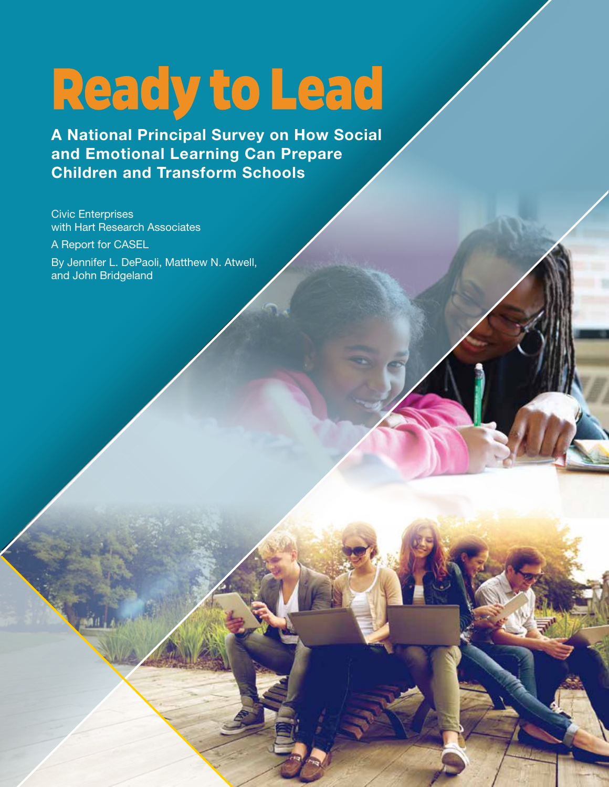# Ready to Lead

**A National Principal Survey on How Social and Emotional Learning Can Prepare Children and Transform Schools** 

Civic Enterprises with Hart Research Associates

A Report for CASEL

By Jennifer L. DePaoli, Matthew N. Atwell, and John Bridgeland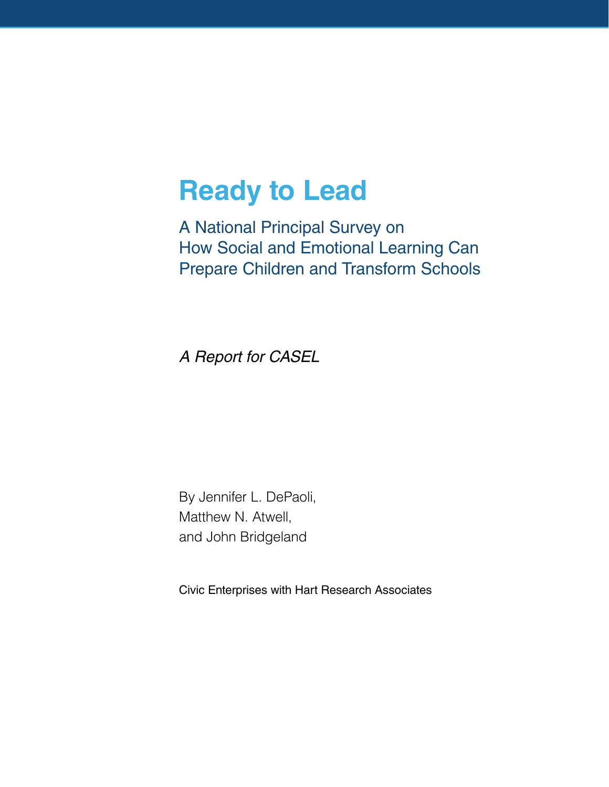# **Ready to Lead**

A National Principal Survey on How Social and Emotional Learning Can Prepare Children and Transform Schools

*A Report for CASEL*

By Jennifer L. DePaoli, Matthew N. Atwell, and John Bridgeland

Civic Enterprises with Hart Research Associates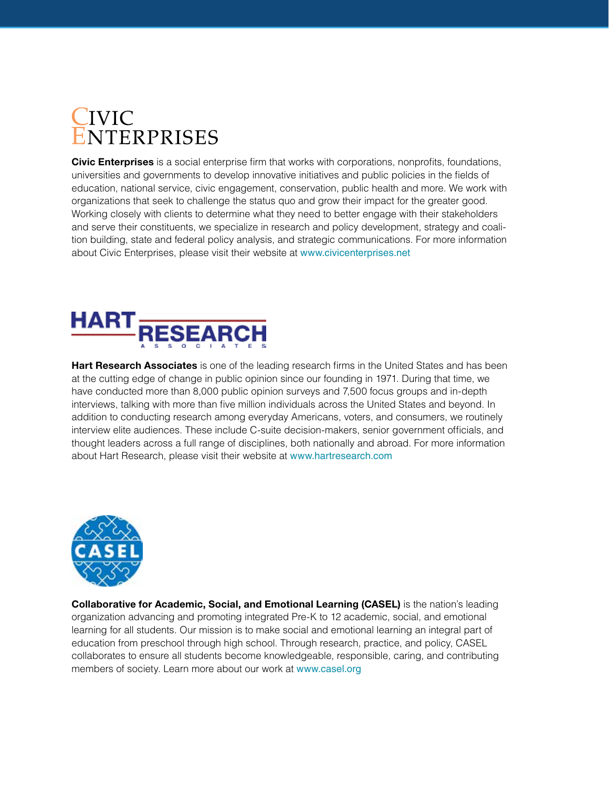# **IVIC NTERPRISES**

**Civic Enterprises** is a social enterprise firm that works with corporations, nonprofits, foundations, universities and governments to develop innovative initiatives and public policies in the fields of education, national service, civic engagement, conservation, public health and more. We work with organizations that seek to challenge the status quo and grow their impact for the greater good. Working closely with clients to determine what they need to better engage with their stakeholders and serve their constituents, we specialize in research and policy development, strategy and coalition building, state and federal policy analysis, and strategic communications. For more information about Civic Enterprises, please visit their website at www.civicenterprises.net



**Hart Research Associates** is one of the leading research firms in the United States and has been at the cutting edge of change in public opinion since our founding in 1971. During that time, we have conducted more than 8,000 public opinion surveys and 7,500 focus groups and in-depth interviews, talking with more than five million individuals across the United States and beyond. In addition to conducting research among everyday Americans, voters, and consumers, we routinely interview elite audiences. These include C-suite decision-makers, senior government officials, and thought leaders across a full range of disciplines, both nationally and abroad. For more information about Hart Research, please visit their website at www.hartresearch.com



**Collaborative for Academic, Social, and Emotional Learning (CASEL)** is the nation's leading organization advancing and promoting integrated Pre-K to 12 academic, social, and emotional learning for all students. Our mission is to make social and emotional learning an integral part of education from preschool through high school. Through research, practice, and policy, CASEL collaborates to ensure all students become knowledgeable, responsible, caring, and contributing members of society. Learn more about our work at www.casel.org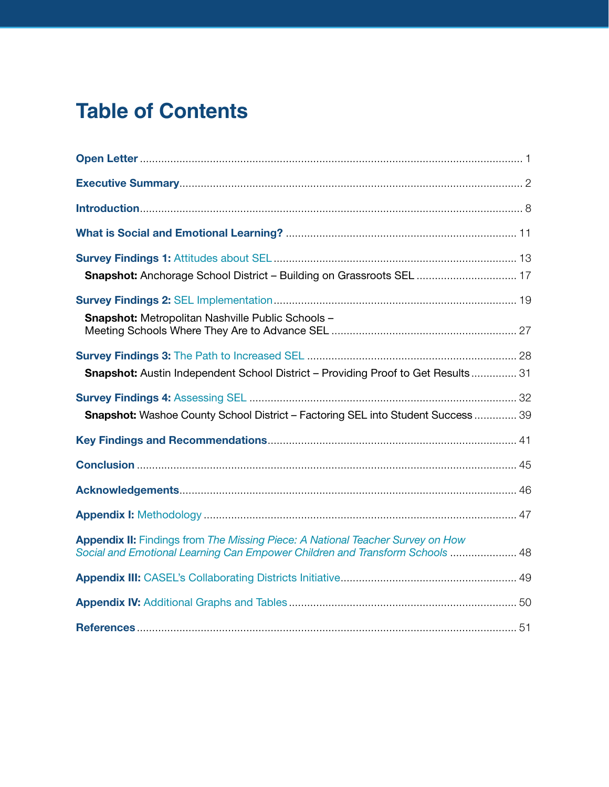# **Table of Contents**

| <b>Snapshot:</b> Anchorage School District - Building on Grassroots SEL  17                                                                                           |  |
|-----------------------------------------------------------------------------------------------------------------------------------------------------------------------|--|
|                                                                                                                                                                       |  |
| Snapshot: Metropolitan Nashville Public Schools -                                                                                                                     |  |
|                                                                                                                                                                       |  |
| <b>Snapshot:</b> Austin Independent School District - Providing Proof to Get Results 31                                                                               |  |
| <b>Snapshot:</b> Washoe County School District - Factoring SEL into Student Success  39                                                                               |  |
|                                                                                                                                                                       |  |
|                                                                                                                                                                       |  |
|                                                                                                                                                                       |  |
|                                                                                                                                                                       |  |
| <b>Appendix II:</b> Findings from The Missing Piece: A National Teacher Survey on How<br>Social and Emotional Learning Can Empower Children and Transform Schools  48 |  |
|                                                                                                                                                                       |  |
|                                                                                                                                                                       |  |
|                                                                                                                                                                       |  |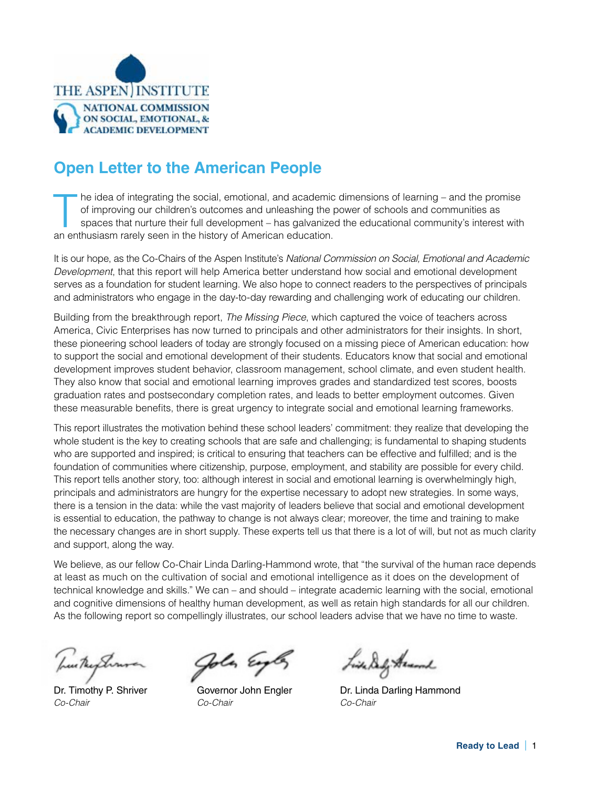

# **Open Letter to the American People**

The idea of integrating the social, emotional, and academic dimensions of learning – and the promise<br>of improving our children's outcomes and unleashing the power of schools and communities as<br>spaces that nurture their ful of improving our children's outcomes and unleashing the power of schools and communities as an enthusiasm rarely seen in the history of American education.

It is our hope, as the Co-Chairs of the Aspen Institute's *National Commission on Social, Emotional and Academic Development*, that this report will help America better understand how social and emotional development serves as a foundation for student learning. We also hope to connect readers to the perspectives of principals and administrators who engage in the day-to-day rewarding and challenging work of educating our children.

Building from the breakthrough report, *The Missing Piece*, which captured the voice of teachers across America, Civic Enterprises has now turned to principals and other administrators for their insights. In short, these pioneering school leaders of today are strongly focused on a missing piece of American education: how to support the social and emotional development of their students. Educators know that social and emotional development improves student behavior, classroom management, school climate, and even student health. They also know that social and emotional learning improves grades and standardized test scores, boosts graduation rates and postsecondary completion rates, and leads to better employment outcomes. Given these measurable benefits, there is great urgency to integrate social and emotional learning frameworks.

This report illustrates the motivation behind these school leaders' commitment: they realize that developing the whole student is the key to creating schools that are safe and challenging; is fundamental to shaping students who are supported and inspired; is critical to ensuring that teachers can be effective and fulfilled; and is the foundation of communities where citizenship, purpose, employment, and stability are possible for every child. This report tells another story, too: although interest in social and emotional learning is overwhelmingly high, principals and administrators are hungry for the expertise necessary to adopt new strategies. In some ways, there is a tension in the data: while the vast majority of leaders believe that social and emotional development is essential to education, the pathway to change is not always clear; moreover, the time and training to make the necessary changes are in short supply. These experts tell us that there is a lot of will, but not as much clarity and support, along the way.

We believe, as our fellow Co-Chair Linda Darling-Hammond wrote, that "the survival of the human race depends at least as much on the cultivation of social and emotional intelligence as it does on the development of technical knowledge and skills." We can – and should – integrate academic learning with the social, emotional and cognitive dimensions of healthy human development, as well as retain high standards for all our children. As the following report so compellingly illustrates, our school leaders advise that we have no time to waste.

Dr. Timothy P. Shriver *Co-Chair*

la Es

Governor John Engler *Co-Chair*

Liste Belly Armond

Dr. Linda Darling Hammond *Co-Chair*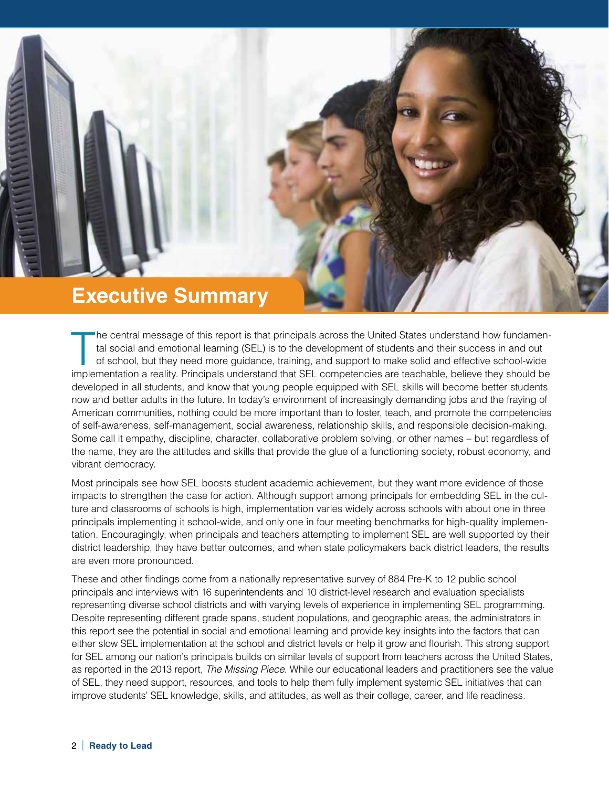

The central message of this report is that principals across the United States understand how fundamental social and emotional learning (SEL) is to the development of students and their success in and out of school, but th he central message of this report is that principals across the United States understand how fundamental social and emotional learning (SEL) is to the development of students and their success in and out of school, but they need more guidance, training, and support to make solid and effective school-wide developed in all students, and know that young people equipped with SEL skills will become better students now and better adults in the future. In today's environment of increasingly demanding jobs and the fraying of American communities, nothing could be more important than to foster, teach, and promote the competencies of self-awareness, self-management, social awareness, relationship skills, and responsible decision-making. Some call it empathy, discipline, character, collaborative problem solving, or other names – but regardless of the name, they are the attitudes and skills that provide the glue of a functioning society, robust economy, and vibrant democracy.

Most principals see how SEL boosts student academic achievement, but they want more evidence of those impacts to strengthen the case for action. Although support among principals for embedding SEL in the culture and classrooms of schools is high, implementation varies widely across schools with about one in three principals implementing it school-wide, and only one in four meeting benchmarks for high-quality implementation. Encouragingly, when principals and teachers attempting to implement SEL are well supported by their district leadership, they have better outcomes, and when state policymakers back district leaders, the results are even more pronounced.

These and other findings come from a nationally representative survey of 884 Pre-K to 12 public school principals and interviews with 16 superintendents and 10 district-level research and evaluation specialists representing diverse school districts and with varying levels of experience in implementing SEL programming. Despite representing different grade spans, student populations, and geographic areas, the administrators in this report see the potential in social and emotional learning and provide key insights into the factors that can either slow SEL implementation at the school and district levels or help it grow and flourish. This strong support for SEL among our nation's principals builds on similar levels of support from teachers across the United States, as reported in the 2013 report, *The Missing Piece*. While our educational leaders and practitioners see the value of SEL, they need support, resources, and tools to help them fully implement systemic SEL initiatives that can improve students' SEL knowledge, skills, and attitudes, as well as their college, career, and life readiness.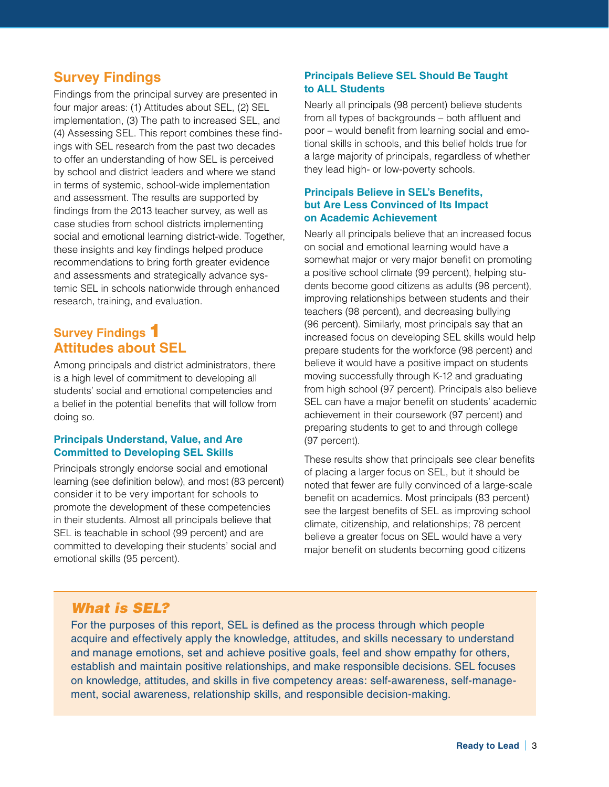# **Survey Findings**

Findings from the principal survey are presented in four major areas: (1) Attitudes about SEL, (2) SEL implementation, (3) The path to increased SEL, and (4) Assessing SEL. This report combines these findings with SEL research from the past two decades to offer an understanding of how SEL is perceived by school and district leaders and where we stand in terms of systemic, school-wide implementation and assessment. The results are supported by findings from the 2013 teacher survey, as well as case studies from school districts implementing social and emotional learning district-wide. Together, these insights and key findings helped produce recommendations to bring forth greater evidence and assessments and strategically advance systemic SEL in schools nationwide through enhanced research, training, and evaluation.

# **Survey Findings** 1 **Attitudes about SEL**

Among principals and district administrators, there is a high level of commitment to developing all students' social and emotional competencies and a belief in the potential benefits that will follow from doing so.

#### **Principals Understand, Value, and Are Committed to Developing SEL Skills**

Principals strongly endorse social and emotional learning (see definition below), and most (83 percent) consider it to be very important for schools to promote the development of these competencies in their students. Almost all principals believe that SEL is teachable in school (99 percent) and are committed to developing their students' social and emotional skills (95 percent).

#### **Principals Believe SEL Should Be Taught to ALL Students**

Nearly all principals (98 percent) believe students from all types of backgrounds – both affluent and poor – would benefit from learning social and emotional skills in schools, and this belief holds true for a large majority of principals, regardless of whether they lead high- or low-poverty schools.

#### **Principals Believe in SEL's Benefits, but Are Less Convinced of Its Impact on Academic Achievement**

Nearly all principals believe that an increased focus on social and emotional learning would have a somewhat major or very major benefit on promoting a positive school climate (99 percent), helping students become good citizens as adults (98 percent), improving relationships between students and their teachers (98 percent), and decreasing bullying (96 percent). Similarly, most principals say that an increased focus on developing SEL skills would help prepare students for the workforce (98 percent) and believe it would have a positive impact on students moving successfully through K-12 and graduating from high school (97 percent). Principals also believe SEL can have a major benefit on students' academic achievement in their coursework (97 percent) and preparing students to get to and through college (97 percent).

These results show that principals see clear benefits of placing a larger focus on SEL, but it should be noted that fewer are fully convinced of a large-scale benefit on academics. Most principals (83 percent) see the largest benefits of SEL as improving school climate, citizenship, and relationships; 78 percent believe a greater focus on SEL would have a very major benefit on students becoming good citizens

## *What is SEL?*

For the purposes of this report, SEL is defined as the process through which people acquire and effectively apply the knowledge, attitudes, and skills necessary to understand and manage emotions, set and achieve positive goals, feel and show empathy for others, establish and maintain positive relationships, and make responsible decisions. SEL focuses on knowledge, attitudes, and skills in five competency areas: self-awareness, self-management, social awareness, relationship skills, and responsible decision-making.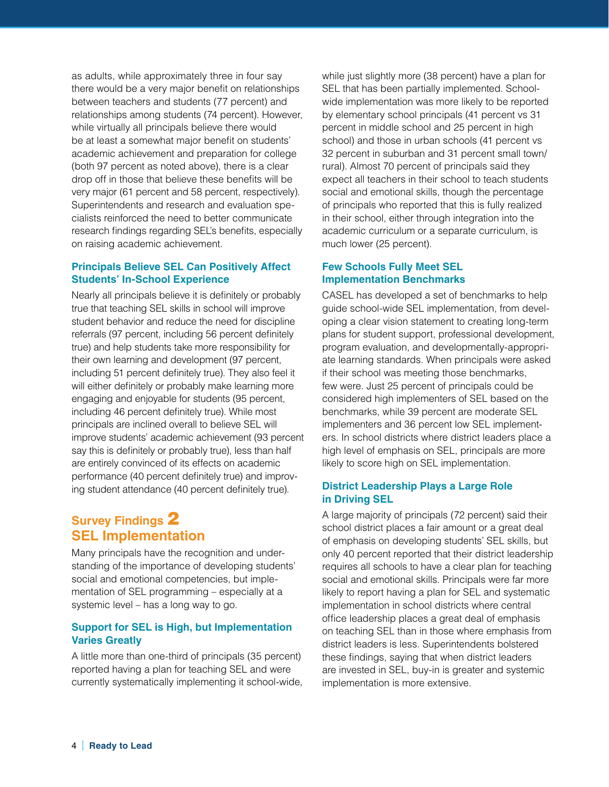as adults, while approximately three in four say there would be a very major benefit on relationships between teachers and students (77 percent) and relationships among students (74 percent). However, while virtually all principals believe there would be at least a somewhat major benefit on students' academic achievement and preparation for college (both 97 percent as noted above), there is a clear drop off in those that believe these benefits will be very major (61 percent and 58 percent, respectively). Superintendents and research and evaluation specialists reinforced the need to better communicate research findings regarding SEL's benefits, especially on raising academic achievement.

#### **Principals Believe SEL Can Positively Affect Students' In-School Experience**

Nearly all principals believe it is definitely or probably true that teaching SEL skills in school will improve student behavior and reduce the need for discipline referrals (97 percent, including 56 percent definitely true) and help students take more responsibility for their own learning and development (97 percent, including 51 percent definitely true). They also feel it will either definitely or probably make learning more engaging and enjoyable for students (95 percent, including 46 percent definitely true). While most principals are inclined overall to believe SEL will improve students' academic achievement (93 percent say this is definitely or probably true), less than half are entirely convinced of its effects on academic performance (40 percent definitely true) and improving student attendance (40 percent definitely true).

# **Survey Findings** 2 **SEL Implementation**

Many principals have the recognition and understanding of the importance of developing students' social and emotional competencies, but implementation of SEL programming – especially at a systemic level – has a long way to go.

#### **Support for SEL is High, but Implementation Varies Greatly**

A little more than one-third of principals (35 percent) reported having a plan for teaching SEL and were currently systematically implementing it school-wide, while just slightly more (38 percent) have a plan for SEL that has been partially implemented. Schoolwide implementation was more likely to be reported by elementary school principals (41 percent vs 31 percent in middle school and 25 percent in high school) and those in urban schools (41 percent vs 32 percent in suburban and 31 percent small town/ rural). Almost 70 percent of principals said they expect all teachers in their school to teach students social and emotional skills, though the percentage of principals who reported that this is fully realized in their school, either through integration into the academic curriculum or a separate curriculum, is much lower (25 percent).

#### **Few Schools Fully Meet SEL Implementation Benchmarks**

CASEL has developed a set of benchmarks to help guide school-wide SEL implementation, from developing a clear vision statement to creating long-term plans for student support, professional development, program evaluation, and developmentally-appropriate learning standards. When principals were asked if their school was meeting those benchmarks, few were. Just 25 percent of principals could be considered high implementers of SEL based on the benchmarks, while 39 percent are moderate SEL implementers and 36 percent low SEL implementers. In school districts where district leaders place a high level of emphasis on SEL, principals are more likely to score high on SEL implementation.

#### **District Leadership Plays a Large Role in Driving SEL**

A large majority of principals (72 percent) said their school district places a fair amount or a great deal of emphasis on developing students' SEL skills, but only 40 percent reported that their district leadership requires all schools to have a clear plan for teaching social and emotional skills. Principals were far more likely to report having a plan for SEL and systematic implementation in school districts where central office leadership places a great deal of emphasis on teaching SEL than in those where emphasis from district leaders is less. Superintendents bolstered these findings, saying that when district leaders are invested in SEL, buy-in is greater and systemic implementation is more extensive.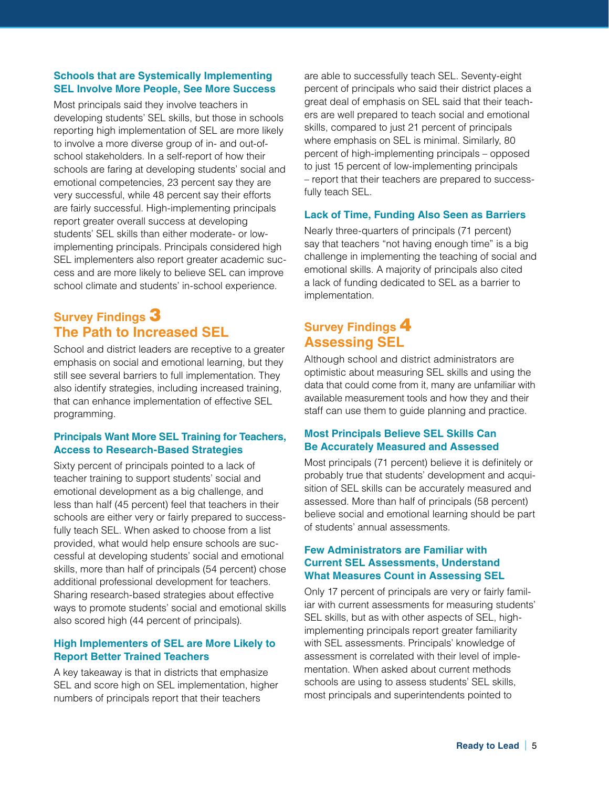#### **Schools that are Systemically Implementing SEL Involve More People, See More Success**

Most principals said they involve teachers in developing students' SEL skills, but those in schools reporting high implementation of SEL are more likely to involve a more diverse group of in- and out-ofschool stakeholders. In a self-report of how their schools are faring at developing students' social and emotional competencies, 23 percent say they are very successful, while 48 percent say their efforts are fairly successful. High-implementing principals report greater overall success at developing students' SEL skills than either moderate- or lowimplementing principals. Principals considered high SEL implementers also report greater academic success and are more likely to believe SEL can improve school climate and students' in-school experience.

# **Survey Findings** 3 **The Path to Increased SEL**

School and district leaders are receptive to a greater emphasis on social and emotional learning, but they still see several barriers to full implementation. They also identify strategies, including increased training, that can enhance implementation of effective SEL programming.

#### **Principals Want More SEL Training for Teachers, Access to Research-Based Strategies**

Sixty percent of principals pointed to a lack of teacher training to support students' social and emotional development as a big challenge, and less than half (45 percent) feel that teachers in their schools are either very or fairly prepared to successfully teach SEL. When asked to choose from a list provided, what would help ensure schools are successful at developing students' social and emotional skills, more than half of principals (54 percent) chose additional professional development for teachers. Sharing research-based strategies about effective ways to promote students' social and emotional skills also scored high (44 percent of principals).

#### **High Implementers of SEL are More Likely to Report Better Trained Teachers**

A key takeaway is that in districts that emphasize SEL and score high on SEL implementation, higher numbers of principals report that their teachers

are able to successfully teach SEL. Seventy-eight percent of principals who said their district places a great deal of emphasis on SEL said that their teachers are well prepared to teach social and emotional skills, compared to just 21 percent of principals where emphasis on SEL is minimal. Similarly, 80 percent of high-implementing principals – opposed to just 15 percent of low-implementing principals – report that their teachers are prepared to successfully teach SEL.

#### **Lack of Time, Funding Also Seen as Barriers**

Nearly three-quarters of principals (71 percent) say that teachers "not having enough time" is a big challenge in implementing the teaching of social and emotional skills. A majority of principals also cited a lack of funding dedicated to SEL as a barrier to implementation.

# **Survey Findings** 4 **Assessing SEL**

Although school and district administrators are optimistic about measuring SEL skills and using the data that could come from it, many are unfamiliar with available measurement tools and how they and their staff can use them to guide planning and practice.

#### **Most Principals Believe SEL Skills Can Be Accurately Measured and Assessed**

Most principals (71 percent) believe it is definitely or probably true that students' development and acquisition of SEL skills can be accurately measured and assessed. More than half of principals (58 percent) believe social and emotional learning should be part of students' annual assessments.

#### **Few Administrators are Familiar with Current SEL Assessments, Understand What Measures Count in Assessing SEL**

Only 17 percent of principals are very or fairly familiar with current assessments for measuring students' SEL skills, but as with other aspects of SEL, highimplementing principals report greater familiarity with SEL assessments. Principals' knowledge of assessment is correlated with their level of implementation. When asked about current methods schools are using to assess students' SEL skills, most principals and superintendents pointed to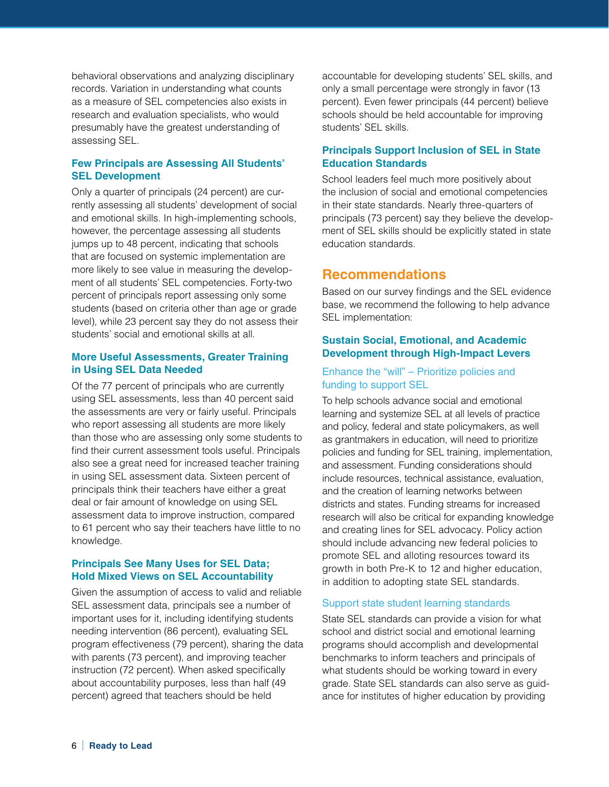behavioral observations and analyzing disciplinary records. Variation in understanding what counts as a measure of SEL competencies also exists in research and evaluation specialists, who would presumably have the greatest understanding of assessing SEL.

#### **Few Principals are Assessing All Students' SEL Development**

Only a quarter of principals (24 percent) are currently assessing all students' development of social and emotional skills. In high-implementing schools, however, the percentage assessing all students jumps up to 48 percent, indicating that schools that are focused on systemic implementation are more likely to see value in measuring the development of all students' SEL competencies. Forty-two percent of principals report assessing only some students (based on criteria other than age or grade level), while 23 percent say they do not assess their students' social and emotional skills at all.

#### **More Useful Assessments, Greater Training in Using SEL Data Needed**

Of the 77 percent of principals who are currently using SEL assessments, less than 40 percent said the assessments are very or fairly useful. Principals who report assessing all students are more likely than those who are assessing only some students to find their current assessment tools useful. Principals also see a great need for increased teacher training in using SEL assessment data. Sixteen percent of principals think their teachers have either a great deal or fair amount of knowledge on using SEL assessment data to improve instruction, compared to 61 percent who say their teachers have little to no knowledge.

#### **Principals See Many Uses for SEL Data; Hold Mixed Views on SEL Accountability**

Given the assumption of access to valid and reliable SEL assessment data, principals see a number of important uses for it, including identifying students needing intervention (86 percent), evaluating SEL program effectiveness (79 percent), sharing the data with parents (73 percent), and improving teacher instruction (72 percent). When asked specifically about accountability purposes, less than half (49 percent) agreed that teachers should be held

accountable for developing students' SEL skills, and only a small percentage were strongly in favor (13 percent). Even fewer principals (44 percent) believe schools should be held accountable for improving students' SEL skills.

#### **Principals Support Inclusion of SEL in State Education Standards**

School leaders feel much more positively about the inclusion of social and emotional competencies in their state standards. Nearly three-quarters of principals (73 percent) say they believe the development of SEL skills should be explicitly stated in state education standards.

# **Recommendations**

Based on our survey findings and the SEL evidence base, we recommend the following to help advance SEL implementation:

#### **Sustain Social, Emotional, and Academic Development through High-Impact Levers**

#### Enhance the "will" – Prioritize policies and funding to support SEL

To help schools advance social and emotional learning and systemize SEL at all levels of practice and policy, federal and state policymakers, as well as grantmakers in education, will need to prioritize policies and funding for SEL training, implementation, and assessment. Funding considerations should include resources, technical assistance, evaluation, and the creation of learning networks between districts and states. Funding streams for increased research will also be critical for expanding knowledge and creating lines for SEL advocacy. Policy action should include advancing new federal policies to promote SEL and alloting resources toward its growth in both Pre-K to 12 and higher education, in addition to adopting state SEL standards.

#### Support state student learning standards

State SEL standards can provide a vision for what school and district social and emotional learning programs should accomplish and developmental benchmarks to inform teachers and principals of what students should be working toward in every grade. State SEL standards can also serve as guidance for institutes of higher education by providing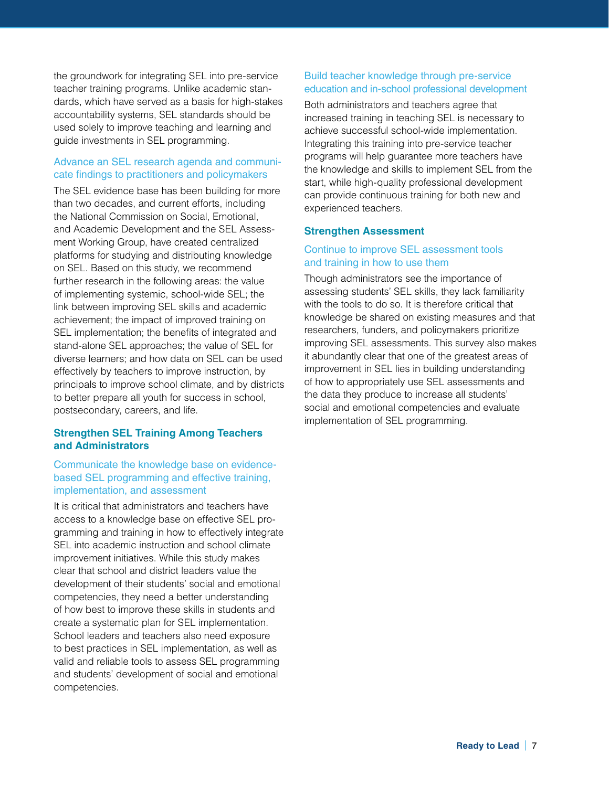the groundwork for integrating SEL into pre-service teacher training programs. Unlike academic standards, which have served as a basis for high-stakes accountability systems, SEL standards should be used solely to improve teaching and learning and guide investments in SEL programming.

#### Advance an SEL research agenda and communicate findings to practitioners and policymakers

The SEL evidence base has been building for more than two decades, and current efforts, including the National Commission on Social, Emotional, and Academic Development and the SEL Assessment Working Group, have created centralized platforms for studying and distributing knowledge on SEL. Based on this study, we recommend further research in the following areas: the value of implementing systemic, school-wide SEL; the link between improving SEL skills and academic achievement; the impact of improved training on SEL implementation; the benefits of integrated and stand-alone SEL approaches; the value of SEL for diverse learners; and how data on SEL can be used effectively by teachers to improve instruction, by principals to improve school climate, and by districts to better prepare all youth for success in school, postsecondary, careers, and life.

#### **Strengthen SEL Training Among Teachers and Administrators**

#### Communicate the knowledge base on evidencebased SEL programming and effective training, implementation, and assessment

It is critical that administrators and teachers have access to a knowledge base on effective SEL programming and training in how to effectively integrate SEL into academic instruction and school climate improvement initiatives. While this study makes clear that school and district leaders value the development of their students' social and emotional competencies, they need a better understanding of how best to improve these skills in students and create a systematic plan for SEL implementation. School leaders and teachers also need exposure to best practices in SEL implementation, as well as valid and reliable tools to assess SEL programming and students' development of social and emotional competencies.

#### Build teacher knowledge through pre-service education and in-school professional development

Both administrators and teachers agree that increased training in teaching SEL is necessary to achieve successful school-wide implementation. Integrating this training into pre-service teacher programs will help guarantee more teachers have the knowledge and skills to implement SEL from the start, while high-quality professional development can provide continuous training for both new and experienced teachers.

#### **Strengthen Assessment**

#### Continue to improve SEL assessment tools and training in how to use them

Though administrators see the importance of assessing students' SEL skills, they lack familiarity with the tools to do so. It is therefore critical that knowledge be shared on existing measures and that researchers, funders, and policymakers prioritize improving SEL assessments. This survey also makes it abundantly clear that one of the greatest areas of improvement in SEL lies in building understanding of how to appropriately use SEL assessments and the data they produce to increase all students' social and emotional competencies and evaluate implementation of SEL programming.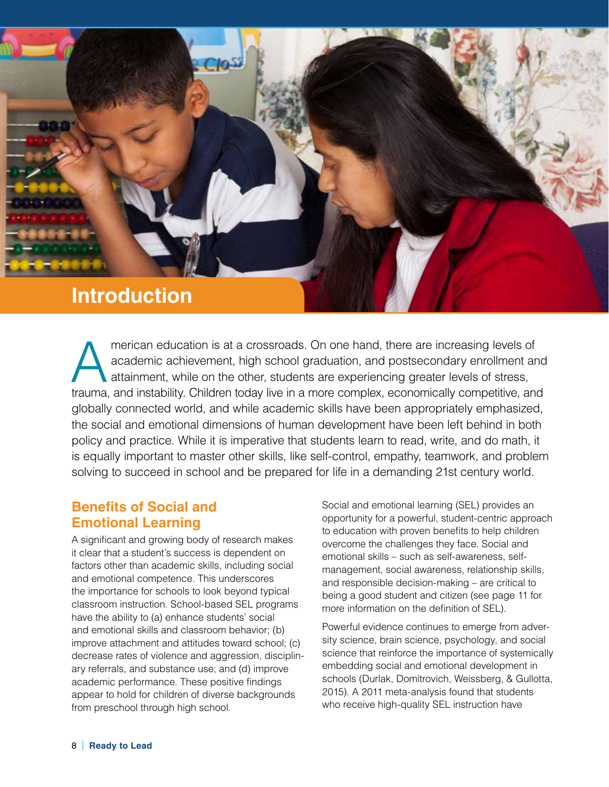

merican education is at a crossroads. On one hand, there are increasing levels of academic achievement, high school graduation, and postsecondary enrollment are attainment, while on the other, students are experiencing gre academic achievement, high school graduation, and postsecondary enrollment and attainment, while on the other, students are experiencing greater levels of stress, trauma, and instability. Children today live in a more complex, economically competitive, and globally connected world, and while academic skills have been appropriately emphasized, the social and emotional dimensions of human development have been left behind in both policy and practice. While it is imperative that students learn to read, write, and do math, it is equally important to master other skills, like self-control, empathy, teamwork, and problem solving to succeed in school and be prepared for life in a demanding 21st century world.

# **Benefits of Social and Emotional Learning**

A significant and growing body of research makes it clear that a student's success is dependent on factors other than academic skills, including social and emotional competence. This underscores the importance for schools to look beyond typical classroom instruction. School-based SEL programs have the ability to (a) enhance students' social and emotional skills and classroom behavior; (b) improve attachment and attitudes toward school; (c) decrease rates of violence and aggression, disciplinary referrals, and substance use; and (d) improve academic performance. These positive findings appear to hold for children of diverse backgrounds from preschool through high school.

Social and emotional learning (SEL) provides an opportunity for a powerful, student-centric approach to education with proven benefits to help children overcome the challenges they face. Social and emotional skills – such as self-awareness, selfmanagement, social awareness, relationship skills, and responsible decision-making – are critical to being a good student and citizen (see page 11 for more information on the definition of SEL).

Powerful evidence continues to emerge from adversity science, brain science, psychology, and social science that reinforce the importance of systemically embedding social and emotional development in schools (Durlak, Domitrovich, Weissberg, & Gullotta, 2015). A 2011 meta-analysis found that students who receive high-quality SEL instruction have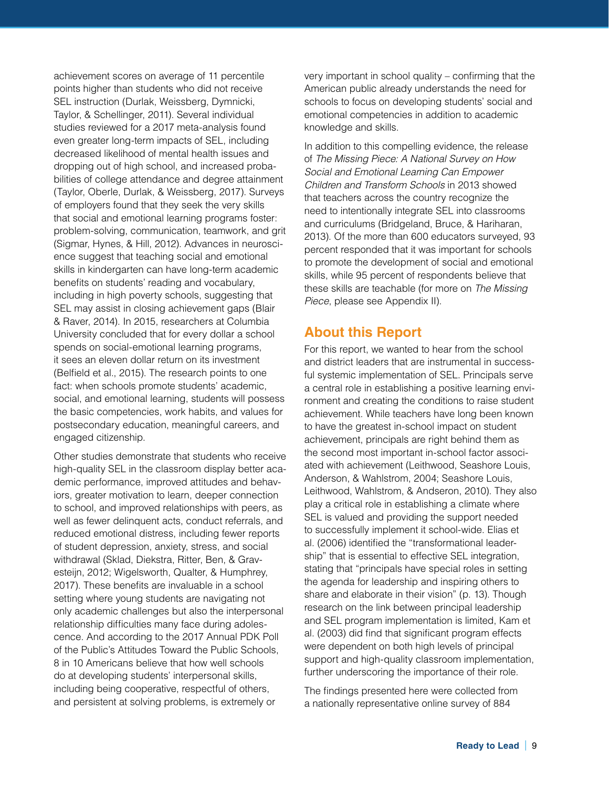achievement scores on average of 11 percentile points higher than students who did not receive SEL instruction (Durlak, Weissberg, Dymnicki, Taylor, & Schellinger, 2011). Several individual studies reviewed for a 2017 meta-analysis found even greater long-term impacts of SEL, including decreased likelihood of mental health issues and dropping out of high school, and increased probabilities of college attendance and degree attainment (Taylor, Oberle, Durlak, & Weissberg, 2017). Surveys of employers found that they seek the very skills that social and emotional learning programs foster: problem-solving, communication, teamwork, and grit (Sigmar, Hynes, & Hill, 2012). Advances in neuroscience suggest that teaching social and emotional skills in kindergarten can have long-term academic benefits on students' reading and vocabulary, including in high poverty schools, suggesting that SEL may assist in closing achievement gaps (Blair & Raver, 2014). In 2015, researchers at Columbia University concluded that for every dollar a school spends on social-emotional learning programs, it sees an eleven dollar return on its investment (Belfield et al., 2015). The research points to one fact: when schools promote students' academic, social, and emotional learning, students will possess the basic competencies, work habits, and values for postsecondary education, meaningful careers, and engaged citizenship.

Other studies demonstrate that students who receive high-quality SEL in the classroom display better academic performance, improved attitudes and behaviors, greater motivation to learn, deeper connection to school, and improved relationships with peers, as well as fewer delinquent acts, conduct referrals, and reduced emotional distress, including fewer reports of student depression, anxiety, stress, and social withdrawal (Sklad, Diekstra, Ritter, Ben, & Gravesteijn, 2012; Wigelsworth, Qualter, & Humphrey, 2017). These benefits are invaluable in a school setting where young students are navigating not only academic challenges but also the interpersonal relationship difficulties many face during adolescence. And according to the 2017 Annual PDK Poll of the Public's Attitudes Toward the Public Schools, 8 in 10 Americans believe that how well schools do at developing students' interpersonal skills, including being cooperative, respectful of others, and persistent at solving problems, is extremely or

very important in school quality – confirming that the American public already understands the need for schools to focus on developing students' social and emotional competencies in addition to academic knowledge and skills.

In addition to this compelling evidence, the release of *The Missing Piece: A National Survey on How Social and Emotional Learning Can Empower Children and Transform Schools* in 2013 showed that teachers across the country recognize the need to intentionally integrate SEL into classrooms and curriculums (Bridgeland, Bruce, & Hariharan, 2013). Of the more than 600 educators surveyed, 93 percent responded that it was important for schools to promote the development of social and emotional skills, while 95 percent of respondents believe that these skills are teachable (for more on *The Missing Piece*, please see Appendix II).

# **About this Report**

For this report, we wanted to hear from the school and district leaders that are instrumental in successful systemic implementation of SEL. Principals serve a central role in establishing a positive learning environment and creating the conditions to raise student achievement. While teachers have long been known to have the greatest in-school impact on student achievement, principals are right behind them as the second most important in-school factor associated with achievement (Leithwood, Seashore Louis, Anderson, & Wahlstrom, 2004; Seashore Louis, Leithwood, Wahlstrom, & Andseron, 2010). They also play a critical role in establishing a climate where SEL is valued and providing the support needed to successfully implement it school-wide. Elias et al. (2006) identified the "transformational leadership" that is essential to effective SEL integration, stating that "principals have special roles in setting the agenda for leadership and inspiring others to share and elaborate in their vision" (p. 13). Though research on the link between principal leadership and SEL program implementation is limited, Kam et al. (2003) did find that significant program effects were dependent on both high levels of principal support and high-quality classroom implementation, further underscoring the importance of their role.

The findings presented here were collected from a nationally representative online survey of 884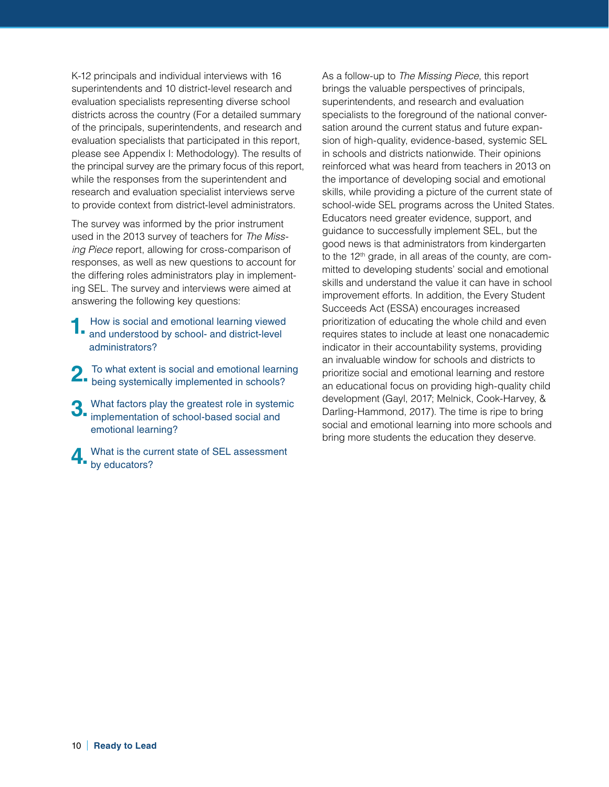K-12 principals and individual interviews with 16 superintendents and 10 district-level research and evaluation specialists representing diverse school districts across the country (For a detailed summary of the principals, superintendents, and research and evaluation specialists that participated in this report, please see Appendix I: Methodology). The results of the principal survey are the primary focus of this report, while the responses from the superintendent and research and evaluation specialist interviews serve to provide context from district-level administrators.

The survey was informed by the prior instrument used in the 2013 survey of teachers for *The Missing Piece* report, allowing for cross-comparison of responses, as well as new questions to account for the differing roles administrators play in implementing SEL. The survey and interviews were aimed at answering the following key questions:

- **1.** How is social and emotional learning viewed and understood by school- and district-level administrators?
- 2. To what extent is social and emotional learning<br>being systemically implemented in schools?
- **3.** What factors play the greatest role in systemic implementation of school-based social and emotional learning?
- **4.** What is the current state of SEL assessment by educators?

As a follow-up to *The Missing Piece*, this report brings the valuable perspectives of principals, superintendents, and research and evaluation specialists to the foreground of the national conversation around the current status and future expansion of high-quality, evidence-based, systemic SEL in schools and districts nationwide. Their opinions reinforced what was heard from teachers in 2013 on the importance of developing social and emotional skills, while providing a picture of the current state of school-wide SEL programs across the United States. Educators need greater evidence, support, and guidance to successfully implement SEL, but the good news is that administrators from kindergarten to the 12<sup>th</sup> grade, in all areas of the county, are committed to developing students' social and emotional skills and understand the value it can have in school improvement efforts. In addition, the Every Student Succeeds Act (ESSA) encourages increased prioritization of educating the whole child and even requires states to include at least one nonacademic indicator in their accountability systems, providing an invaluable window for schools and districts to prioritize social and emotional learning and restore an educational focus on providing high-quality child development (Gayl, 2017; Melnick, Cook-Harvey, & Darling-Hammond, 2017). The time is ripe to bring social and emotional learning into more schools and bring more students the education they deserve.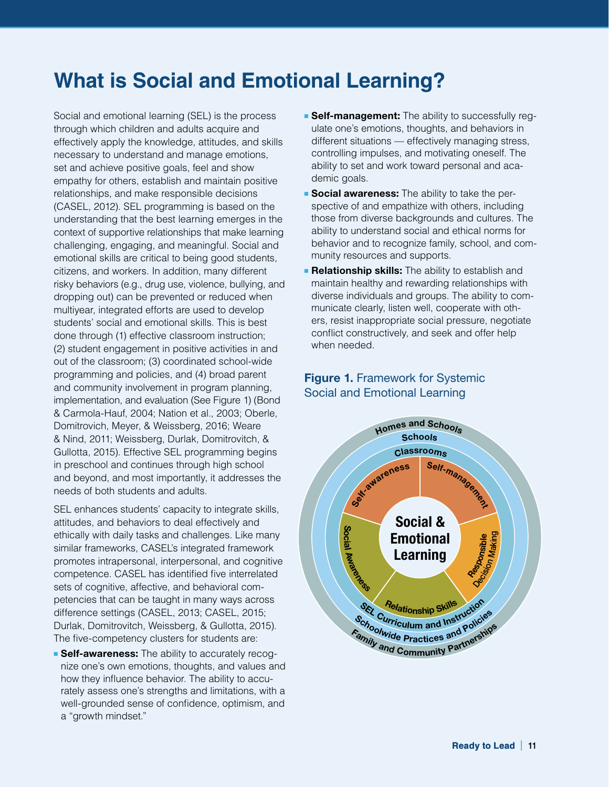# **What is Social and Emotional Learning?**

Social and emotional learning (SEL) is the process through which children and adults acquire and effectively apply the knowledge, attitudes, and skills necessary to understand and manage emotions, set and achieve positive goals, feel and show empathy for others, establish and maintain positive relationships, and make responsible decisions (CASEL, 2012). SEL programming is based on the understanding that the best learning emerges in the context of supportive relationships that make learning challenging, engaging, and meaningful. Social and emotional skills are critical to being good students, citizens, and workers. In addition, many different risky behaviors (e.g., drug use, violence, bullying, and dropping out) can be prevented or reduced when multiyear, integrated efforts are used to develop students' social and emotional skills. This is best done through (1) effective classroom instruction; (2) student engagement in positive activities in and out of the classroom; (3) coordinated school-wide programming and policies, and (4) broad parent and community involvement in program planning, implementation, and evaluation (See Figure 1) (Bond & Carmola-Hauf, 2004; Nation et al., 2003; Oberle, Domitrovich, Meyer, & Weissberg, 2016; Weare & Nind, 2011; Weissberg, Durlak, Domitrovitch, & Gullotta, 2015). Effective SEL programming begins in preschool and continues through high school and beyond, and most importantly, it addresses the needs of both students and adults.

SEL enhances students' capacity to integrate skills, attitudes, and behaviors to deal effectively and ethically with daily tasks and challenges. Like many similar frameworks, CASEL's integrated framework promotes intrapersonal, interpersonal, and cognitive competence. CASEL has identified five interrelated sets of cognitive, affective, and behavioral competencies that can be taught in many ways across difference settings (CASEL, 2013; CASEL, 2015; Durlak, Domitrovitch, Weissberg, & Gullotta, 2015). The five-competency clusters for students are:

**Belf-awareness:** The ability to accurately recognize one's own emotions, thoughts, and values and how they influence behavior. The ability to accurately assess one's strengths and limitations, with a well-grounded sense of confidence, optimism, and a "growth mindset."

- **Belf-management:** The ability to successfully requlate one's emotions, thoughts, and behaviors in different situations — effectively managing stress, controlling impulses, and motivating oneself. The ability to set and work toward personal and academic goals.
- **Bocial awareness:** The ability to take the perspective of and empathize with others, including those from diverse backgrounds and cultures. The ability to understand social and ethical norms for behavior and to recognize family, school, and community resources and supports.
- **Relationship skills:** The ability to establish and maintain healthy and rewarding relationships with diverse individuals and groups. The ability to communicate clearly, listen well, cooperate with others, resist inappropriate social pressure, negotiate conflict constructively, and seek and offer help when needed.

## **Figure 1. Framework for Systemic** Social and Emotional Learning

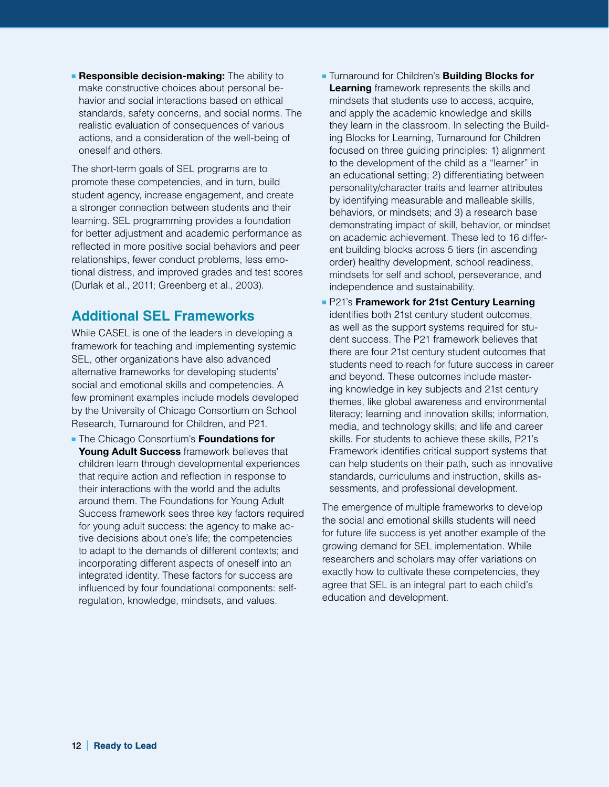**Executive Bedision-making:** The ability to make constructive choices about personal behavior and social interactions based on ethical standards, safety concerns, and social norms. The realistic evaluation of consequences of various actions, and a consideration of the well-being of oneself and others.

The short-term goals of SEL programs are to promote these competencies, and in turn, build student agency, increase engagement, and create a stronger connection between students and their learning. SEL programming provides a foundation for better adjustment and academic performance as reflected in more positive social behaviors and peer relationships, fewer conduct problems, less emotional distress, and improved grades and test scores (Durlak et al., 2011; Greenberg et al., 2003).

# **Additional SEL Frameworks**

While CASEL is one of the leaders in developing a framework for teaching and implementing systemic SEL, other organizations have also advanced alternative frameworks for developing students' social and emotional skills and competencies. A few prominent examples include models developed by the University of Chicago Consortium on School Research, Turnaround for Children, and P21.

■ The Chicago Consortium's **Foundations for Young Adult Success** framework believes that children learn through developmental experiences that require action and reflection in response to their interactions with the world and the adults around them. The Foundations for Young Adult Success framework sees three key factors required for young adult success: the agency to make active decisions about one's life; the competencies to adapt to the demands of different contexts; and incorporating different aspects of oneself into an integrated identity. These factors for success are influenced by four foundational components: selfregulation, knowledge, mindsets, and values.

- Turnaround for Children's **Building Blocks for Learning** framework represents the skills and mindsets that students use to access, acquire, and apply the academic knowledge and skills they learn in the classroom. In selecting the Building Blocks for Learning, Turnaround for Children focused on three guiding principles: 1) alignment to the development of the child as a "learner" in an educational setting; 2) differentiating between personality/character traits and learner attributes by identifying measurable and malleable skills, behaviors, or mindsets; and 3) a research base demonstrating impact of skill, behavior, or mindset on academic achievement. These led to 16 different building blocks across 5 tiers (in ascending order) healthy development, school readiness, mindsets for self and school, perseverance, and independence and sustainability.
- P21's **Framework for 21st Century Learning** identifies both 21st century student outcomes, as well as the support systems required for student success. The P21 framework believes that there are four 21st century student outcomes that students need to reach for future success in career and beyond. These outcomes include mastering knowledge in key subjects and 21st century themes, like global awareness and environmental literacy; learning and innovation skills; information, media, and technology skills; and life and career skills. For students to achieve these skills, P21's Framework identifies critical support systems that can help students on their path, such as innovative standards, curriculums and instruction, skills assessments, and professional development.

The emergence of multiple frameworks to develop the social and emotional skills students will need for future life success is yet another example of the growing demand for SEL implementation. While researchers and scholars may offer variations on exactly how to cultivate these competencies, they agree that SEL is an integral part to each child's education and development.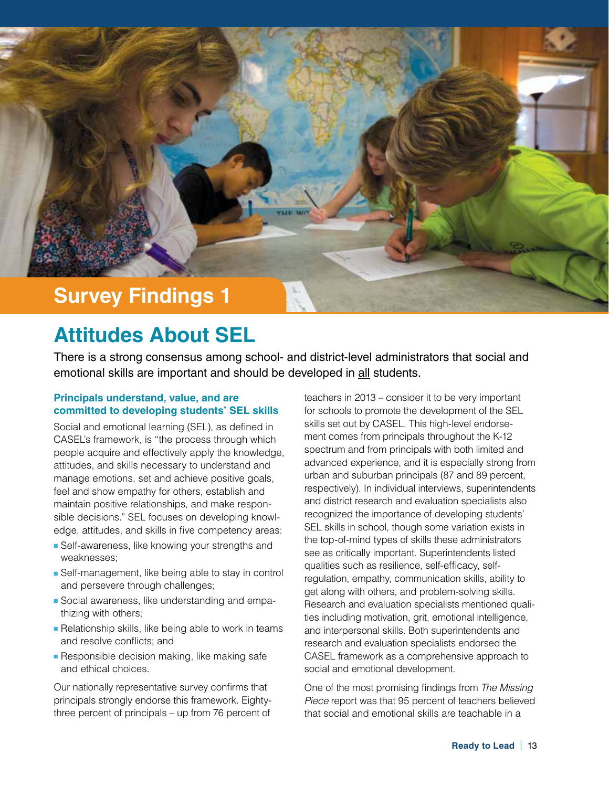

# **Attitudes About SEL**

There is a strong consensus among school- and district-level administrators that social and emotional skills are important and should be developed in all students.

#### **Principals understand, value, and are committed to developing students' SEL skills**

Social and emotional learning (SEL), as defined in CASEL's framework, is "the process through which people acquire and effectively apply the knowledge, attitudes, and skills necessary to understand and manage emotions, set and achieve positive goals, feel and show empathy for others, establish and maintain positive relationships, and make responsible decisions." SEL focuses on developing knowledge, attitudes, and skills in five competency areas:

- Self-awareness, like knowing your strengths and weaknesses;
- Self-management, like being able to stay in control and persevere through challenges;
- Social awareness, like understanding and empathizing with others;
- Relationship skills, like being able to work in teams and resolve conflicts; and
- Responsible decision making, like making safe and ethical choices.

Our nationally representative survey confirms that principals strongly endorse this framework. Eightythree percent of principals – up from 76 percent of teachers in 2013 – consider it to be very important for schools to promote the development of the SEL skills set out by CASEL. This high-level endorsement comes from principals throughout the K-12 spectrum and from principals with both limited and advanced experience, and it is especially strong from urban and suburban principals (87 and 89 percent, respectively). In individual interviews, superintendents and district research and evaluation specialists also recognized the importance of developing students' SEL skills in school, though some variation exists in the top-of-mind types of skills these administrators see as critically important. Superintendents listed qualities such as resilience, self-efficacy, selfregulation, empathy, communication skills, ability to get along with others, and problem-solving skills. Research and evaluation specialists mentioned qualities including motivation, grit, emotional intelligence, and interpersonal skills. Both superintendents and research and evaluation specialists endorsed the CASEL framework as a comprehensive approach to social and emotional development.

One of the most promising findings from *The Missing Piece* report was that 95 percent of teachers believed that social and emotional skills are teachable in a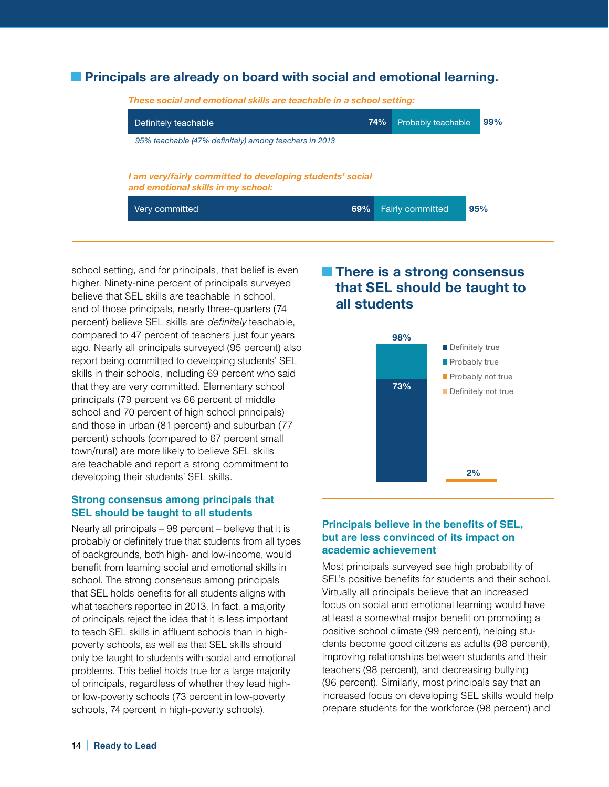## **Principals are already on board with social and emotional learning.**

| Definitely teachable                                                                            | 74% | Probably teachable | 99% |
|-------------------------------------------------------------------------------------------------|-----|--------------------|-----|
| 95% teachable (47% definitely) among teachers in 2013                                           |     |                    |     |
|                                                                                                 |     |                    |     |
| I am very/fairly committed to developing students' social<br>and emotional skills in my school: |     |                    |     |

school setting, and for principals, that belief is even higher. Ninety-nine percent of principals surveyed believe that SEL skills are teachable in school, and of those principals, nearly three-quarters (74 percent) believe SEL skills are *definitely* teachable, compared to 47 percent of teachers just four years ago. Nearly all principals surveyed (95 percent) also report being committed to developing students' SEL skills in their schools, including 69 percent who said that they are very committed. Elementary school principals (79 percent vs 66 percent of middle school and 70 percent of high school principals) and those in urban (81 percent) and suburban (77 percent) schools (compared to 67 percent small town/rural) are more likely to believe SEL skills are teachable and report a strong commitment to developing their students' SEL skills.

#### **Strong consensus among principals that SEL should be taught to all students**

Nearly all principals – 98 percent – believe that it is probably or definitely true that students from all types of backgrounds, both high- and low-income, would benefit from learning social and emotional skills in school. The strong consensus among principals that SEL holds benefits for all students aligns with what teachers reported in 2013. In fact, a majority of principals reject the idea that it is less important to teach SEL skills in affluent schools than in highpoverty schools, as well as that SEL skills should only be taught to students with social and emotional problems. This belief holds true for a large majority of principals, regardless of whether they lead highor low-poverty schools (73 percent in low-poverty schools, 74 percent in high-poverty schools).

# **There is a strong consensus that SEL should be taught to all students**



#### **Principals believe in the benefits of SEL, but are less convinced of its impact on academic achievement**

Most principals surveyed see high probability of SEL's positive benefits for students and their school. Virtually all principals believe that an increased focus on social and emotional learning would have at least a somewhat major benefit on promoting a positive school climate (99 percent), helping students become good citizens as adults (98 percent), improving relationships between students and their teachers (98 percent), and decreasing bullying (96 percent). Similarly, most principals say that an increased focus on developing SEL skills would help prepare students for the workforce (98 percent) and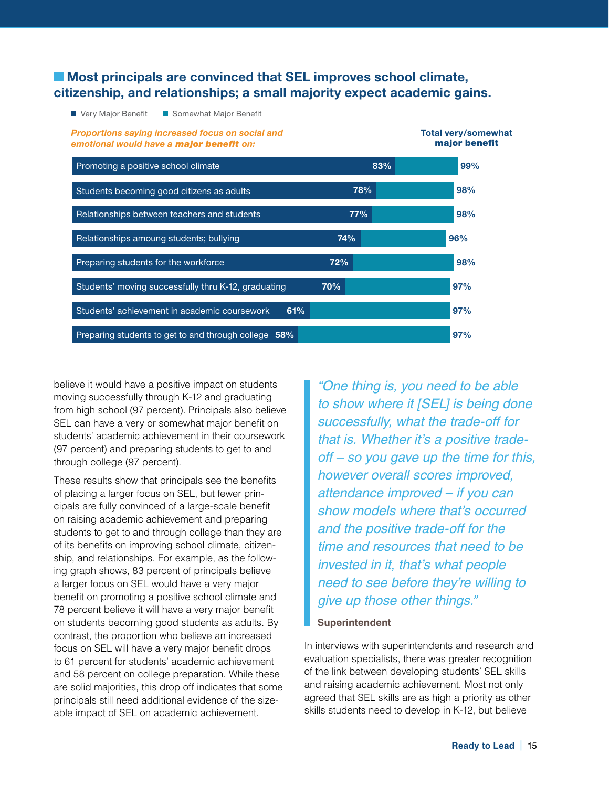## **EXECUTE: Most principals are convinced that SEL improves school climate, citizenship, and relationships; a small majority expect academic gains.**

■ Very Major Benefit ■ Somewhat Major Benefit

*Proportions saying increased focus on social and emotional would have a major benefit on:*



believe it would have a positive impact on students moving successfully through K-12 and graduating from high school (97 percent). Principals also believe SEL can have a very or somewhat major benefit on students' academic achievement in their coursework (97 percent) and preparing students to get to and through college (97 percent).

These results show that principals see the benefits of placing a larger focus on SEL, but fewer principals are fully convinced of a large-scale benefit on raising academic achievement and preparing students to get to and through college than they are of its benefits on improving school climate, citizenship, and relationships. For example, as the following graph shows, 83 percent of principals believe a larger focus on SEL would have a very major benefit on promoting a positive school climate and 78 percent believe it will have a very major benefit on students becoming good students as adults. By contrast, the proportion who believe an increased focus on SEL will have a very major benefit drops to 61 percent for students' academic achievement and 58 percent on college preparation. While these are solid majorities, this drop off indicates that some principals still need additional evidence of the sizeable impact of SEL on academic achievement.

*"One thing is, you need to be able to show where it [SEL] is being done successfully, what the trade-off for that is. Whether it's a positive tradeoff – so you gave up the time for this, however overall scores improved, attendance improved – if you can show models where that's occurred and the positive trade-off for the time and resources that need to be invested in it, that's what people need to see before they're willing to give up those other things."*

**Total very/somewhat** 

#### **Superintendent**

In interviews with superintendents and research and evaluation specialists, there was greater recognition of the link between developing students' SEL skills and raising academic achievement. Most not only agreed that SEL skills are as high a priority as other skills students need to develop in K-12, but believe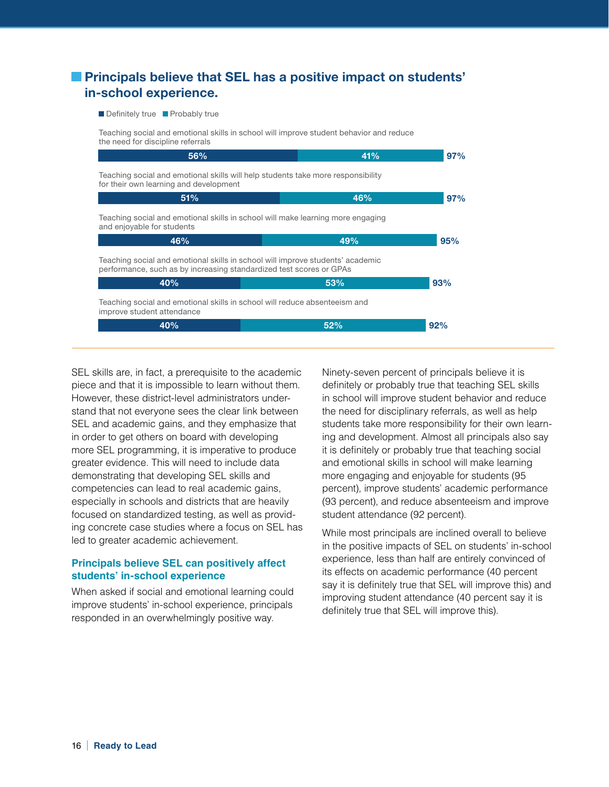# **Principals believe that SEL has a positive impact on students' in-school experience.**

#### Definitely true Probably true

Teaching social and emotional skills in school will improve student behavior and reduce the need for discipline referrals

|                                                                                                                                                       | 97% |  |  |  |  |  |
|-------------------------------------------------------------------------------------------------------------------------------------------------------|-----|--|--|--|--|--|
| Teaching social and emotional skills will help students take more responsibility<br>for their own learning and development                            |     |  |  |  |  |  |
| 46%                                                                                                                                                   | 97% |  |  |  |  |  |
| Teaching social and emotional skills in school will make learning more engaging<br>and enjoyable for students                                         |     |  |  |  |  |  |
| 49%                                                                                                                                                   | 95% |  |  |  |  |  |
| Teaching social and emotional skills in school will improve students' academic<br>performance, such as by increasing standardized test scores or GPAs |     |  |  |  |  |  |
| 53%                                                                                                                                                   | 93% |  |  |  |  |  |
| Teaching social and emotional skills in school will reduce absenteeism and<br>improve student attendance                                              |     |  |  |  |  |  |
| 52%                                                                                                                                                   | 92% |  |  |  |  |  |
|                                                                                                                                                       |     |  |  |  |  |  |

SEL skills are, in fact, a prerequisite to the academic piece and that it is impossible to learn without them. However, these district-level administrators understand that not everyone sees the clear link between SEL and academic gains, and they emphasize that in order to get others on board with developing more SEL programming, it is imperative to produce greater evidence. This will need to include data demonstrating that developing SEL skills and competencies can lead to real academic gains, especially in schools and districts that are heavily focused on standardized testing, as well as providing concrete case studies where a focus on SEL has led to greater academic achievement.

#### **Principals believe SEL can positively affect students' in-school experience**

When asked if social and emotional learning could improve students' in-school experience, principals responded in an overwhelmingly positive way.

Ninety-seven percent of principals believe it is definitely or probably true that teaching SEL skills in school will improve student behavior and reduce the need for disciplinary referrals, as well as help students take more responsibility for their own learning and development. Almost all principals also say it is definitely or probably true that teaching social and emotional skills in school will make learning more engaging and enjoyable for students (95 percent), improve students' academic performance (93 percent), and reduce absenteeism and improve student attendance (92 percent).

While most principals are inclined overall to believe in the positive impacts of SEL on students' in-school experience, less than half are entirely convinced of its effects on academic performance (40 percent say it is definitely true that SEL will improve this) and improving student attendance (40 percent say it is definitely true that SEL will improve this).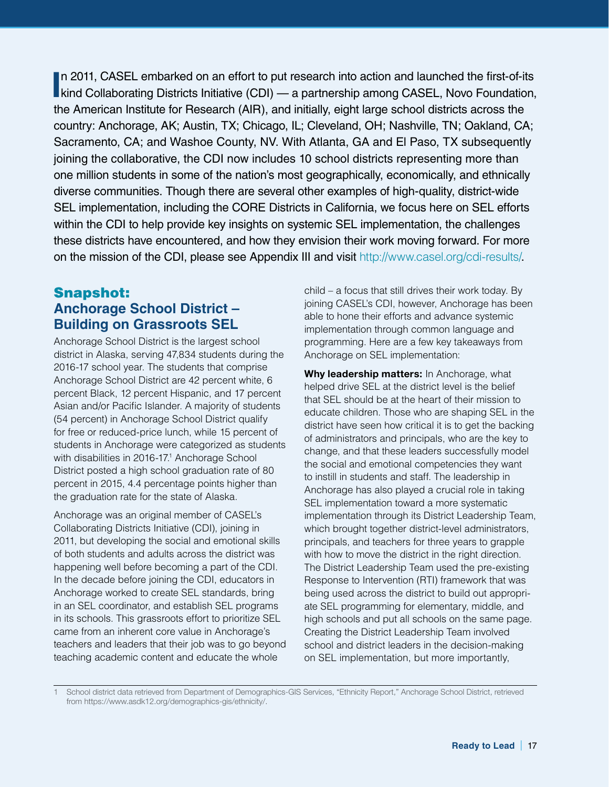In 2011, CASEL embarked on an effort to put research into action and launched the first-of-its<br>kind Collaborating Districts Initiative (CDI) — a partnership among CASEL, Novo Foundation, In 2011, CASEL embarked on an effort to put research into action and launched the first-of-its the American Institute for Research (AIR), and initially, eight large school districts across the country: Anchorage, AK; Austin, TX; Chicago, IL; Cleveland, OH; Nashville, TN; Oakland, CA; Sacramento, CA; and Washoe County, NV. With Atlanta, GA and El Paso, TX subsequently joining the collaborative, the CDI now includes 10 school districts representing more than one million students in some of the nation's most geographically, economically, and ethnically diverse communities. Though there are several other examples of high-quality, district-wide SEL implementation, including the CORE Districts in California, we focus here on SEL efforts within the CDI to help provide key insights on systemic SEL implementation, the challenges these districts have encountered, and how they envision their work moving forward. For more on the mission of the CDI, please see Appendix III and visit <http://www.casel.org/cdi-results/>.

# Snapshot: **Anchorage School District – Building on Grassroots SEL**

Anchorage School District is the largest school district in Alaska, serving 47,834 students during the 2016-17 school year. The students that comprise Anchorage School District are 42 percent white, 6 percent Black, 12 percent Hispanic, and 17 percent Asian and/or Pacific Islander. A majority of students (54 percent) in Anchorage School District qualify for free or reduced-price lunch, while 15 percent of students in Anchorage were categorized as students with disabilities in 2016-17.<sup>1</sup> Anchorage School District posted a high school graduation rate of 80 percent in 2015, 4.4 percentage points higher than the graduation rate for the state of Alaska.

Anchorage was an original member of CASEL's Collaborating Districts Initiative (CDI), joining in 2011, but developing the social and emotional skills of both students and adults across the district was happening well before becoming a part of the CDI. In the decade before joining the CDI, educators in Anchorage worked to create SEL standards, bring in an SEL coordinator, and establish SEL programs in its schools. This grassroots effort to prioritize SEL came from an inherent core value in Anchorage's teachers and leaders that their job was to go beyond teaching academic content and educate the whole

child – a focus that still drives their work today. By joining CASEL's CDI, however, Anchorage has been able to hone their efforts and advance systemic implementation through common language and programming. Here are a few key takeaways from Anchorage on SEL implementation:

**Why leadership matters:** In Anchorage, what helped drive SEL at the district level is the belief that SEL should be at the heart of their mission to educate children. Those who are shaping SEL in the district have seen how critical it is to get the backing of administrators and principals, who are the key to change, and that these leaders successfully model the social and emotional competencies they want to instill in students and staff. The leadership in Anchorage has also played a crucial role in taking SEL implementation toward a more systematic implementation through its District Leadership Team, which brought together district-level administrators, principals, and teachers for three years to grapple with how to move the district in the right direction. The District Leadership Team used the pre-existing Response to Intervention (RTI) framework that was being used across the district to build out appropriate SEL programming for elementary, middle, and high schools and put all schools on the same page. Creating the District Leadership Team involved school and district leaders in the decision-making on SEL implementation, but more importantly,

1 School district data retrieved from Department of Demographics-GIS Services, "Ethnicity Report," Anchorage School District, retrieved from https://www.asdk12.org/demographics-gis/ethnicity/.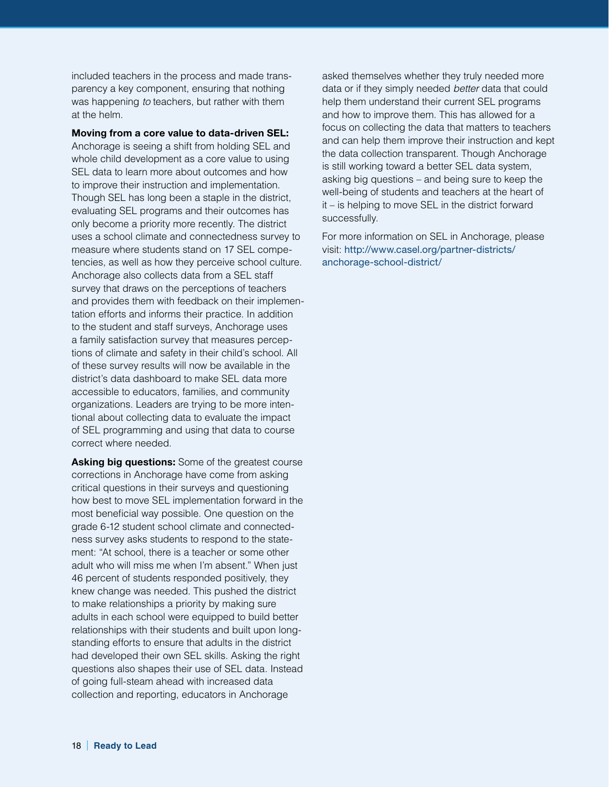included teachers in the process and made transparency a key component, ensuring that nothing was happening *to* teachers, but rather with them at the helm.

**Moving from a core value to data-driven SEL:**

Anchorage is seeing a shift from holding SEL and whole child development as a core value to using SEL data to learn more about outcomes and how to improve their instruction and implementation. Though SEL has long been a staple in the district, evaluating SEL programs and their outcomes has only become a priority more recently. The district uses a school climate and connectedness survey to measure where students stand on 17 SEL competencies, as well as how they perceive school culture. Anchorage also collects data from a SEL staff survey that draws on the perceptions of teachers and provides them with feedback on their implementation efforts and informs their practice. In addition to the student and staff surveys, Anchorage uses a family satisfaction survey that measures perceptions of climate and safety in their child's school. All of these survey results will now be available in the district's data dashboard to make SEL data more accessible to educators, families, and community organizations. Leaders are trying to be more intentional about collecting data to evaluate the impact of SEL programming and using that data to course correct where needed.

**Asking big questions:** Some of the greatest course corrections in Anchorage have come from asking critical questions in their surveys and questioning how best to move SEL implementation forward in the most beneficial way possible. One question on the grade 6-12 student school climate and connectedness survey asks students to respond to the statement: "At school, there is a teacher or some other adult who will miss me when I'm absent." When just 46 percent of students responded positively, they knew change was needed. This pushed the district to make relationships a priority by making sure adults in each school were equipped to build better relationships with their students and built upon longstanding efforts to ensure that adults in the district had developed their own SEL skills. Asking the right questions also shapes their use of SEL data. Instead of going full-steam ahead with increased data collection and reporting, educators in Anchorage

asked themselves whether they truly needed more data or if they simply needed *better* data that could help them understand their current SEL programs and how to improve them. This has allowed for a focus on collecting the data that matters to teachers and can help them improve their instruction and kept the data collection transparent. Though Anchorage is still working toward a better SEL data system, asking big questions – and being sure to keep the well-being of students and teachers at the heart of it – is helping to move SEL in the district forward successfully.

For more information on SEL in Anchorage, please visit: [http://www.casel.org/partner-districts/](http://www.casel.org/partner-districts/anchorage-school-district/) [anchorage-school-district/](http://www.casel.org/partner-districts/anchorage-school-district/)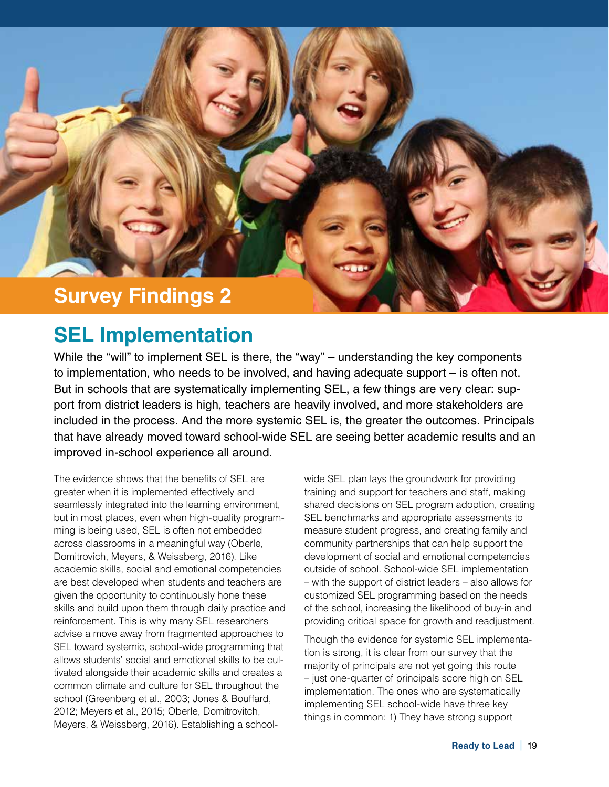

# **SEL Implementation**

While the "will" to implement SEL is there, the "way" – understanding the key components to implementation, who needs to be involved, and having adequate support – is often not. But in schools that are systematically implementing SEL, a few things are very clear: support from district leaders is high, teachers are heavily involved, and more stakeholders are included in the process. And the more systemic SEL is, the greater the outcomes. Principals that have already moved toward school-wide SEL are seeing better academic results and an improved in-school experience all around.

The evidence shows that the benefits of SEL are greater when it is implemented effectively and seamlessly integrated into the learning environment, but in most places, even when high-quality programming is being used, SEL is often not embedded across classrooms in a meaningful way (Oberle, Domitrovich, Meyers, & Weissberg, 2016). Like academic skills, social and emotional competencies are best developed when students and teachers are given the opportunity to continuously hone these skills and build upon them through daily practice and reinforcement. This is why many SEL researchers advise a move away from fragmented approaches to SEL toward systemic, school-wide programming that allows students' social and emotional skills to be cultivated alongside their academic skills and creates a common climate and culture for SEL throughout the school (Greenberg et al., 2003; Jones & Bouffard, 2012; Meyers et al., 2015; Oberle, Domitrovitch, Meyers, & Weissberg, 2016). Establishing a schoolwide SEL plan lays the groundwork for providing training and support for teachers and staff, making shared decisions on SEL program adoption, creating SEL benchmarks and appropriate assessments to measure student progress, and creating family and community partnerships that can help support the development of social and emotional competencies outside of school. School-wide SEL implementation – with the support of district leaders – also allows for customized SEL programming based on the needs of the school, increasing the likelihood of buy-in and providing critical space for growth and readjustment.

Though the evidence for systemic SEL implementation is strong, it is clear from our survey that the majority of principals are not yet going this route – just one-quarter of principals score high on SEL implementation. The ones who are systematically implementing SEL school-wide have three key things in common: 1) They have strong support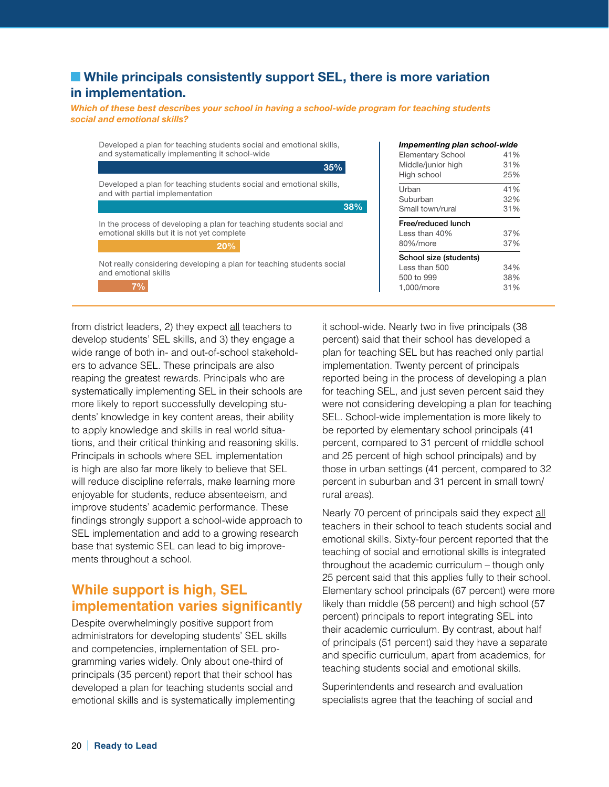## **EXTERNAL EXECUTE:** While principals consistently support SEL, there is more variation **in implementation.**

*Which of these best describes your school in having a school-wide program for teaching students social and emotional skills?*

Developed a plan for teaching students social and emotional skills, and with partial implementation In the process of developing a plan for teaching students social and emotional skills but it is not yet complete Not really considering developing a plan for teaching students social and emotional skills Developed a plan for teaching students social and emotional skills, and systematically implementing it school-wide **35% 38% 20% 7%**

from district leaders, 2) they expect all teachers to develop students' SEL skills, and 3) they engage a wide range of both in- and out-of-school stakeholders to advance SEL. These principals are also reaping the greatest rewards. Principals who are systematically implementing SEL in their schools are more likely to report successfully developing students' knowledge in key content areas, their ability to apply knowledge and skills in real world situations, and their critical thinking and reasoning skills. Principals in schools where SEL implementation is high are also far more likely to believe that SEL will reduce discipline referrals, make learning more enjoyable for students, reduce absenteeism, and improve students' academic performance. These findings strongly support a school-wide approach to SEL implementation and add to a growing research base that systemic SEL can lead to big improvements throughout a school.

# **While support is high, SEL implementation varies significantly**

Despite overwhelmingly positive support from administrators for developing students' SEL skills and competencies, implementation of SEL programming varies widely. Only about one-third of principals (35 percent) report that their school has developed a plan for teaching students social and emotional skills and is systematically implementing it school-wide. Nearly two in five principals (38 percent) said that their school has developed a plan for teaching SEL but has reached only partial implementation. Twenty percent of principals reported being in the process of developing a plan for teaching SEL, and just seven percent said they were not considering developing a plan for teaching SEL. School-wide implementation is more likely to be reported by elementary school principals (41 Urban 41% Suburban 32% Small town/rural 31% Free/reduced lunch Less than 40% 37% 80%/more 37% School size (students) Less than 500 34% 500 to 999 38% 1,000/more 31%

*Impementing plan school-wide* Elementary School 41% Middle/junior high 31% High school 25%

percent, compared to 31 percent of middle school and 25 percent of high school principals) and by those in urban settings (41 percent, compared to 32 percent in suburban and 31 percent in small town/ rural areas).

Nearly 70 percent of principals said they expect all teachers in their school to teach students social and emotional skills. Sixty-four percent reported that the teaching of social and emotional skills is integrated throughout the academic curriculum – though only 25 percent said that this applies fully to their school. Elementary school principals (67 percent) were more likely than middle (58 percent) and high school (57 percent) principals to report integrating SEL into their academic curriculum. By contrast, about half of principals (51 percent) said they have a separate and specific curriculum, apart from academics, for teaching students social and emotional skills.

Superintendents and research and evaluation specialists agree that the teaching of social and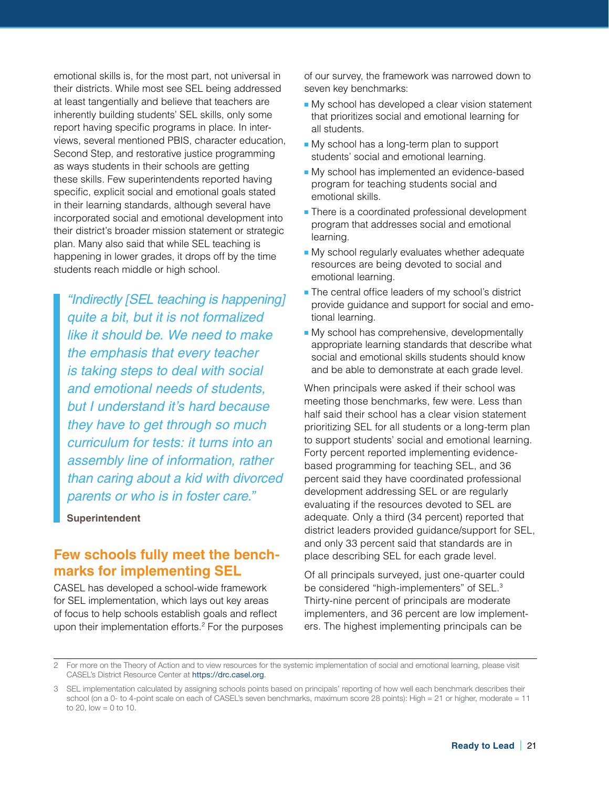emotional skills is, for the most part, not universal in their districts. While most see SEL being addressed at least tangentially and believe that teachers are inherently building students' SEL skills, only some report having specific programs in place. In interviews, several mentioned PBIS, character education, Second Step, and restorative justice programming as ways students in their schools are getting these skills. Few superintendents reported having specific, explicit social and emotional goals stated in their learning standards, although several have incorporated social and emotional development into their district's broader mission statement or strategic plan. Many also said that while SEL teaching is happening in lower grades, it drops off by the time students reach middle or high school.

*"Indirectly [SEL teaching is happening] quite a bit, but it is not formalized like it should be. We need to make the emphasis that every teacher is taking steps to deal with social and emotional needs of students, but I understand it's hard because they have to get through so much curriculum for tests: it turns into an assembly line of information, rather than caring about a kid with divorced parents or who is in foster care."*

#### **Superintendent**

## **Few schools fully meet the benchmarks for implementing SEL**

CASEL has developed a school-wide framework for SEL implementation, which lays out key areas of focus to help schools establish goals and reflect upon their implementation efforts.2 For the purposes of our survey, the framework was narrowed down to seven key benchmarks:

- My school has developed a clear vision statement that prioritizes social and emotional learning for all students.
- My school has a long-term plan to support students' social and emotional learning.
- My school has implemented an evidence-based program for teaching students social and emotional skills.
- There is a coordinated professional development program that addresses social and emotional learning.
- My school regularly evaluates whether adequate resources are being devoted to social and emotional learning.
- The central office leaders of my school's district provide guidance and support for social and emotional learning.
- My school has comprehensive, developmentally appropriate learning standards that describe what social and emotional skills students should know and be able to demonstrate at each grade level.

When principals were asked if their school was meeting those benchmarks, few were. Less than half said their school has a clear vision statement prioritizing SEL for all students or a long-term plan to support students' social and emotional learning. Forty percent reported implementing evidencebased programming for teaching SEL, and 36 percent said they have coordinated professional development addressing SEL or are regularly evaluating if the resources devoted to SEL are adequate. Only a third (34 percent) reported that district leaders provided guidance/support for SEL, and only 33 percent said that standards are in place describing SEL for each grade level.

Of all principals surveyed, just one-quarter could be considered "high-implementers" of SEL.<sup>3</sup> Thirty-nine percent of principals are moderate implementers, and 36 percent are low implementers. The highest implementing principals can be

<sup>2</sup> For more on the Theory of Action and to view resources for the systemic implementation of social and emotional learning, please visit CASEL's District Resource Center at <https://drc.casel.org>.

<sup>3</sup> SEL implementation calculated by assigning schools points based on principals' reporting of how well each benchmark describes their school (on a 0- to 4-point scale on each of CASEL's seven benchmarks, maximum score 28 points): High = 21 or higher, moderate = 11 to 20, low  $= 0$  to 10.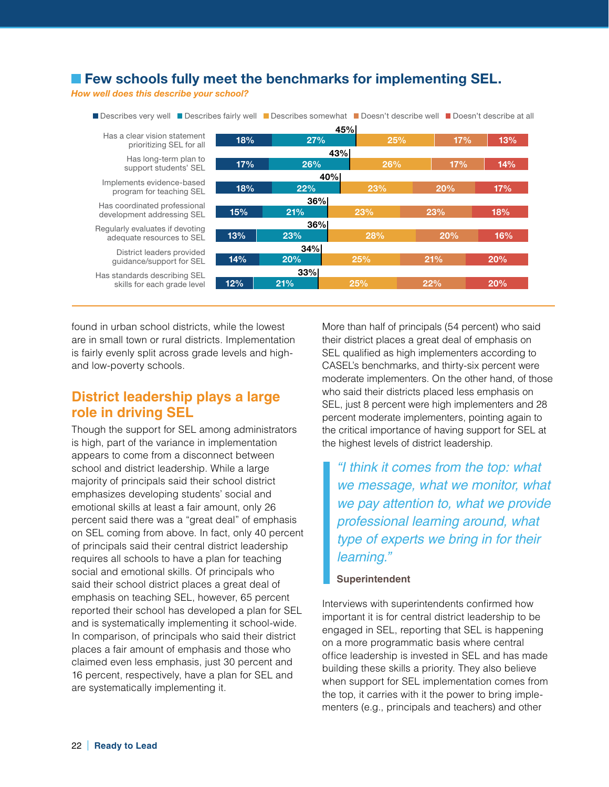# **Few schools fully meet the benchmarks for implementing SEL.**

*How well does this describe your school?*

| ■ Describes very weil ■ Describes fairly weil ■ Describes somewhat ■ Doesn't describe weil ■ Doesn't describe at all |     |            |     |     |            |  |  |
|----------------------------------------------------------------------------------------------------------------------|-----|------------|-----|-----|------------|--|--|
| 45%                                                                                                                  |     |            |     |     |            |  |  |
| Has a clear vision statement<br>prioritizing SEL for all                                                             | 18% | 27%        | 25% |     | 17%<br>13% |  |  |
|                                                                                                                      |     |            | 43% |     |            |  |  |
| Has long-term plan to<br>support students' SEL                                                                       | 17% | 26%        | 26% | 17% | 14%        |  |  |
|                                                                                                                      |     | 40%        |     |     |            |  |  |
| Implements evidence-based<br>program for teaching SEL                                                                | 18% | 22%<br>23% |     | 20% | 17%        |  |  |
| 36%<br>Has coordinated professional                                                                                  |     |            |     |     |            |  |  |
| development addressing SEL                                                                                           | 15% | 21%        | 23% | 23% | 18%        |  |  |
| Regularly evaluates if devoting                                                                                      |     | 36%        |     |     |            |  |  |
| adequate resources to SEL                                                                                            | 13% | 23%        | 28% | 20% | 16%        |  |  |
| 34%<br>District leaders provided                                                                                     |     |            |     |     |            |  |  |
| 14%<br>20%<br>25%<br>quidance/support for SEL                                                                        |     |            | 21% | 20% |            |  |  |
| Has standards describing SEL                                                                                         |     | 33%        |     |     |            |  |  |
| skills for each grade level                                                                                          | 12% | 21%        | 25% | 22% | 20%        |  |  |
|                                                                                                                      |     |            |     |     |            |  |  |

Describes very well Describes fairly well Describes somewhat Doesn't describe well Doesn't describe at all

found in urban school districts, while the lowest are in small town or rural districts. Implementation is fairly evenly split across grade levels and highand low-poverty schools.

# **District leadership plays a large role in driving SEL**

Though the support for SEL among administrators is high, part of the variance in implementation appears to come from a disconnect between school and district leadership. While a large majority of principals said their school district emphasizes developing students' social and emotional skills at least a fair amount, only 26 percent said there was a "great deal" of emphasis on SEL coming from above. In fact, only 40 percent of principals said their central district leadership requires all schools to have a plan for teaching social and emotional skills. Of principals who said their school district places a great deal of emphasis on teaching SEL, however, 65 percent reported their school has developed a plan for SEL and is systematically implementing it school-wide. In comparison, of principals who said their district places a fair amount of emphasis and those who claimed even less emphasis, just 30 percent and 16 percent, respectively, have a plan for SEL and are systematically implementing it.

More than half of principals (54 percent) who said their district places a great deal of emphasis on SEL qualified as high implementers according to CASEL's benchmarks, and thirty-six percent were moderate implementers. On the other hand, of those who said their districts placed less emphasis on SEL, just 8 percent were high implementers and 28 percent moderate implementers, pointing again to the critical importance of having support for SEL at the highest levels of district leadership.

# *"I think it comes from the top: what we message, what we monitor, what we pay attention to, what we provide professional learning around, what type of experts we bring in for their learning."*

#### **Superintendent**

Interviews with superintendents confirmed how important it is for central district leadership to be engaged in SEL, reporting that SEL is happening on a more programmatic basis where central office leadership is invested in SEL and has made building these skills a priority. They also believe when support for SEL implementation comes from the top, it carries with it the power to bring implementers (e.g., principals and teachers) and other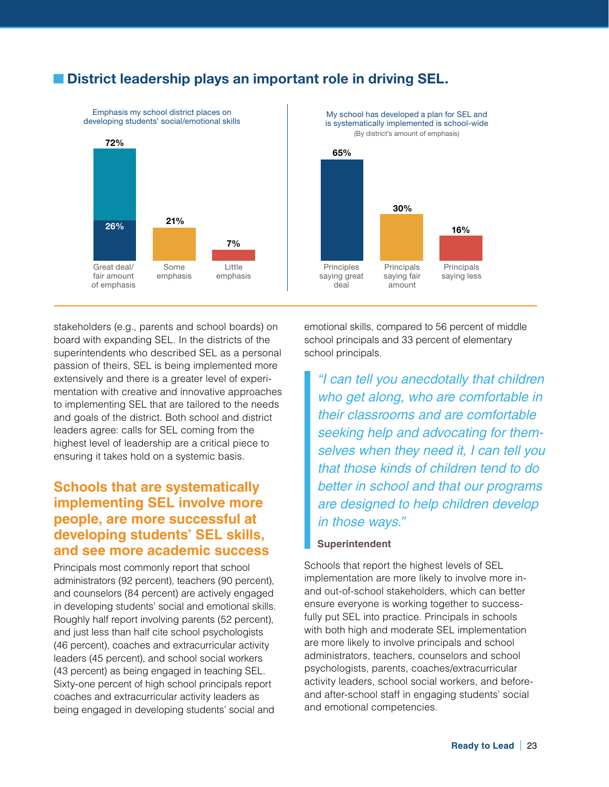# **E** District leadership plays an important role in driving SEL.



is systematically implemented is school-wide (By district's amount of emphasis)



stakeholders (e.g., parents and school boards) on board with expanding SEL. In the districts of the superintendents who described SEL as a personal passion of theirs, SEL is being implemented more extensively and there is a greater level of experimentation with creative and innovative approaches to implementing SEL that are tailored to the needs and goals of the district. Both school and district leaders agree: calls for SEL coming from the highest level of leadership are a critical piece to ensuring it takes hold on a systemic basis.

# **Schools that are systematically implementing SEL involve more people, are more successful at developing students' SEL skills, and see more academic success**

Principals most commonly report that school administrators (92 percent), teachers (90 percent), and counselors (84 percent) are actively engaged in developing students' social and emotional skills. Roughly half report involving parents (52 percent), and just less than half cite school psychologists (46 percent), coaches and extracurricular activity leaders (45 percent), and school social workers (43 percent) as being engaged in teaching SEL. Sixty-one percent of high school principals report coaches and extracurricular activity leaders as being engaged in developing students' social and

emotional skills, compared to 56 percent of middle school principals and 33 percent of elementary school principals.

*"I can tell you anecdotally that children who get along, who are comfortable in their classrooms and are comfortable seeking help and advocating for themselves when they need it, I can tell you that those kinds of children tend to do better in school and that our programs are designed to help children develop in those ways."*

#### **Superintendent**

Schools that report the highest levels of SEL implementation are more likely to involve more inand out-of-school stakeholders, which can better ensure everyone is working together to successfully put SEL into practice. Principals in schools with both high and moderate SEL implementation are more likely to involve principals and school administrators, teachers, counselors and school psychologists, parents, coaches/extracurricular activity leaders, school social workers, and beforeand after-school staff in engaging students' social and emotional competencies.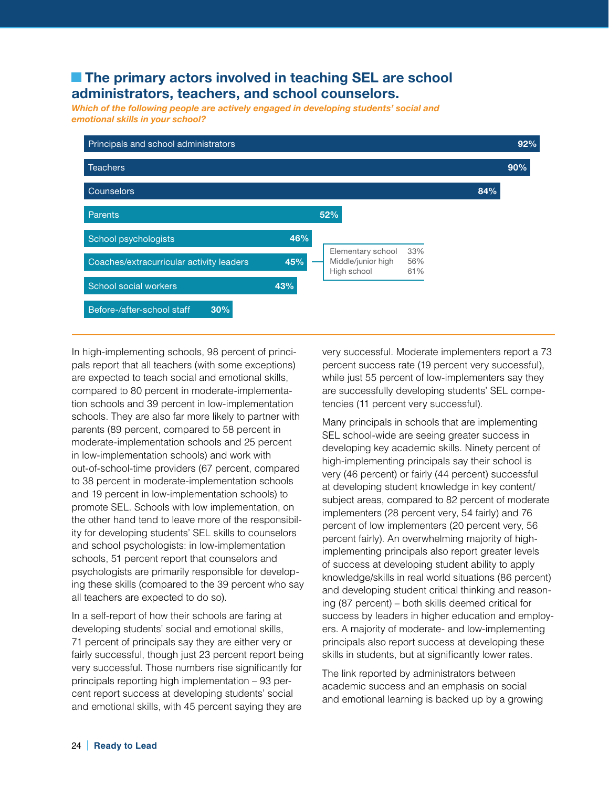# **The primary actors involved in teaching SEL are school administrators, teachers, and school counselors.**

*Which of the following people are actively engaged in developing students' social and emotional skills in your school?*



In high-implementing schools, 98 percent of principals report that all teachers (with some exceptions) are expected to teach social and emotional skills, compared to 80 percent in moderate-implementation schools and 39 percent in low-implementation schools. They are also far more likely to partner with parents (89 percent, compared to 58 percent in moderate-implementation schools and 25 percent in low-implementation schools) and work with out-of-school-time providers (67 percent, compared to 38 percent in moderate-implementation schools and 19 percent in low-implementation schools) to promote SEL. Schools with low implementation, on the other hand tend to leave more of the responsibility for developing students' SEL skills to counselors and school psychologists: in low-implementation schools, 51 percent report that counselors and psychologists are primarily responsible for developing these skills (compared to the 39 percent who say all teachers are expected to do so).

In a self-report of how their schools are faring at developing students' social and emotional skills, 71 percent of principals say they are either very or fairly successful, though just 23 percent report being very successful. Those numbers rise significantly for principals reporting high implementation – 93 percent report success at developing students' social and emotional skills, with 45 percent saying they are

very successful. Moderate implementers report a 73 percent success rate (19 percent very successful), while just 55 percent of low-implementers say they are successfully developing students' SEL competencies (11 percent very successful).

Many principals in schools that are implementing SEL school-wide are seeing greater success in developing key academic skills. Ninety percent of high-implementing principals say their school is very (46 percent) or fairly (44 percent) successful at developing student knowledge in key content/ subject areas, compared to 82 percent of moderate implementers (28 percent very, 54 fairly) and 76 percent of low implementers (20 percent very, 56 percent fairly). An overwhelming majority of highimplementing principals also report greater levels of success at developing student ability to apply knowledge/skills in real world situations (86 percent) and developing student critical thinking and reasoning (87 percent) – both skills deemed critical for success by leaders in higher education and employers. A majority of moderate- and low-implementing principals also report success at developing these skills in students, but at significantly lower rates.

The link reported by administrators between academic success and an emphasis on social and emotional learning is backed up by a growing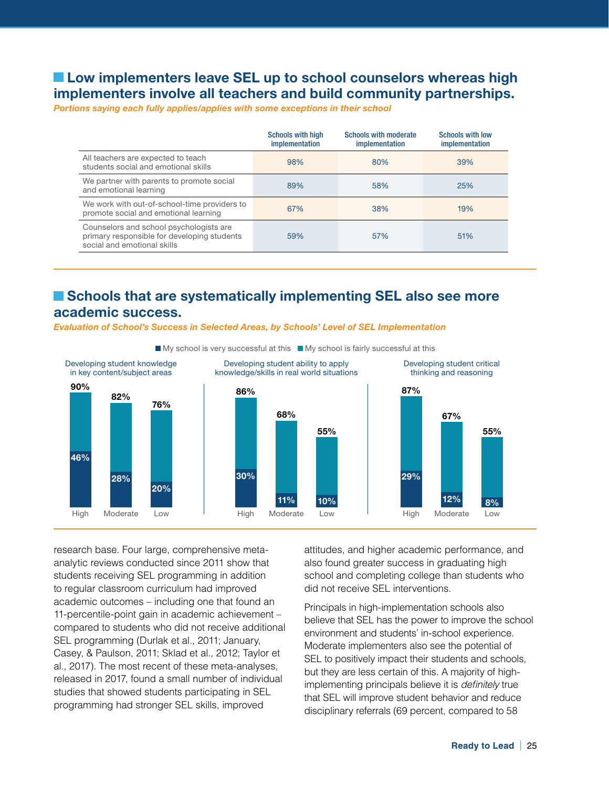# ■ Low implementers leave SEL up to school counselors whereas high **implementers involve all teachers and build community partnerships.**

*Portions saying each fully applies/applies with some exceptions in their school*

|                                                                                                                       | <b>Schools with high</b><br>implementation | <b>Schools with moderate</b><br>implementation | <b>Schools with low</b><br>implementation |
|-----------------------------------------------------------------------------------------------------------------------|--------------------------------------------|------------------------------------------------|-------------------------------------------|
| All teachers are expected to teach<br>students social and emotional skills                                            | 98%                                        | 80%                                            | 39%                                       |
| We partner with parents to promote social<br>and emotional learning                                                   | 89%                                        | 58%                                            | 25%                                       |
| We work with out-of-school-time providers to<br>promote social and emotional learning                                 | 67%                                        | 38%                                            | 19%                                       |
| Counselors and school psychologists are<br>primary responsible for developing students<br>social and emotional skills | 59%                                        | 57%                                            | 51%                                       |

# ■ Schools that are systematically implementing SEL also see more **academic success.**

*Evaluation of School's Success in Selected Areas, by Schools' Level of SEL Implementation*



research base. Four large, comprehensive metaanalytic reviews conducted since 2011 show that students receiving SEL programming in addition to regular classroom curriculum had improved academic outcomes – including one that found an 11-percentile-point gain in academic achievement – compared to students who did not receive additional SEL programming (Durlak et al., 2011; January, Casey, & Paulson, 2011; Sklad et al., 2012; Taylor et al., 2017). The most recent of these meta-analyses, released in 2017, found a small number of individual studies that showed students participating in SEL programming had stronger SEL skills, improved

attitudes, and higher academic performance, and also found greater success in graduating high school and completing college than students who did not receive SEL interventions.

Principals in high-implementation schools also believe that SEL has the power to improve the school environment and students' in-school experience. Moderate implementers also see the potential of SEL to positively impact their students and schools, but they are less certain of this. A majority of highimplementing principals believe it is *definitely* true that SEL will improve student behavior and reduce disciplinary referrals (69 percent, compared to 58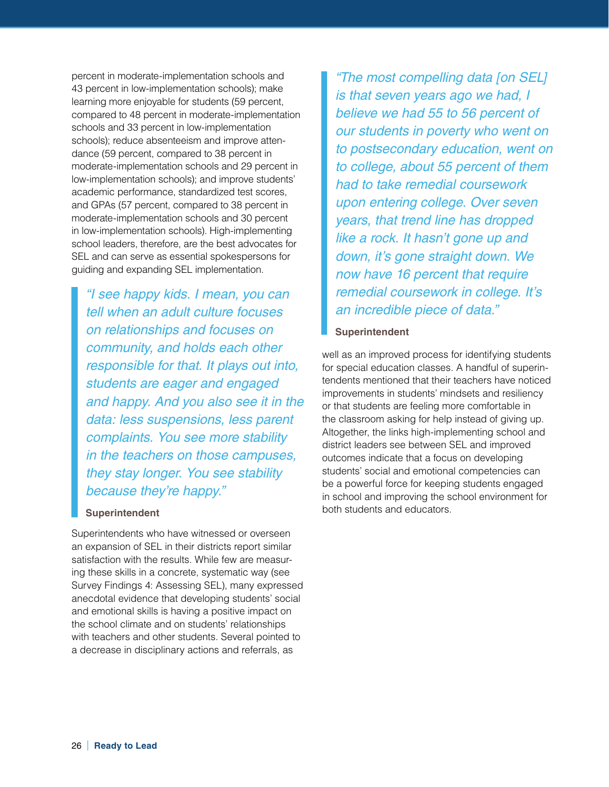percent in moderate-implementation schools and 43 percent in low-implementation schools); make learning more enjoyable for students (59 percent, compared to 48 percent in moderate-implementation schools and 33 percent in low-implementation schools); reduce absenteeism and improve attendance (59 percent, compared to 38 percent in moderate-implementation schools and 29 percent in low-implementation schools); and improve students' academic performance, standardized test scores, and GPAs (57 percent, compared to 38 percent in moderate-implementation schools and 30 percent in low-implementation schools). High-implementing school leaders, therefore, are the best advocates for SEL and can serve as essential spokespersons for guiding and expanding SEL implementation.

*"I see happy kids. I mean, you can tell when an adult culture focuses on relationships and focuses on community, and holds each other responsible for that. It plays out into, students are eager and engaged and happy. And you also see it in the data: less suspensions, less parent complaints. You see more stability in the teachers on those campuses, they stay longer. You see stability because they're happy."*

#### **Superintendent**

Superintendents who have witnessed or overseen an expansion of SEL in their districts report similar satisfaction with the results. While few are measuring these skills in a concrete, systematic way (see Survey Findings 4: Assessing SEL), many expressed anecdotal evidence that developing students' social and emotional skills is having a positive impact on the school climate and on students' relationships with teachers and other students. Several pointed to a decrease in disciplinary actions and referrals, as

*"The most compelling data [on SEL] is that seven years ago we had, I believe we had 55 to 56 percent of our students in poverty who went on to postsecondary education, went on to college, about 55 percent of them had to take remedial coursework upon entering college. Over seven years, that trend line has dropped like a rock. It hasn't gone up and down, it's gone straight down. We now have 16 percent that require remedial coursework in college. It's an incredible piece of data."*

#### **Superintendent**

well as an improved process for identifying students for special education classes. A handful of superintendents mentioned that their teachers have noticed improvements in students' mindsets and resiliency or that students are feeling more comfortable in the classroom asking for help instead of giving up. Altogether, the links high-implementing school and district leaders see between SEL and improved outcomes indicate that a focus on developing students' social and emotional competencies can be a powerful force for keeping students engaged in school and improving the school environment for both students and educators.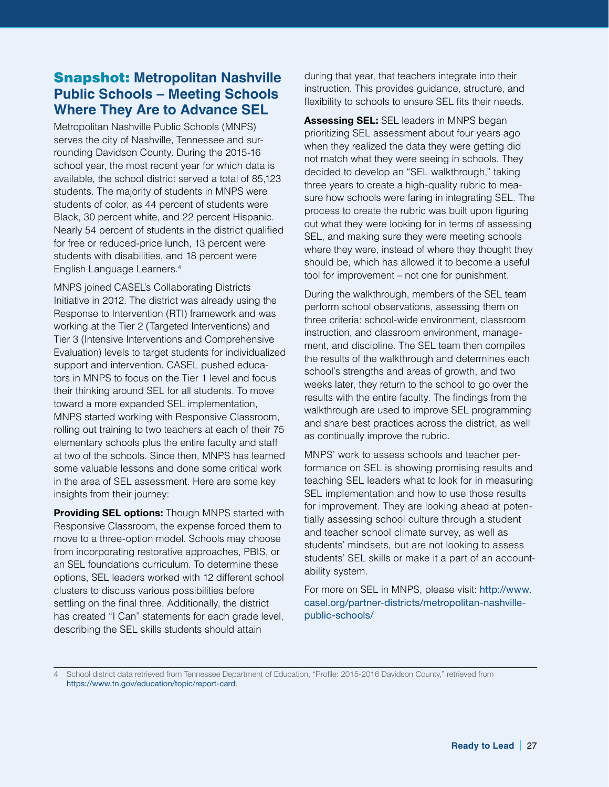# Snapshot: **Metropolitan Nashville Public Schools – Meeting Schools Where They Are to Advance SEL**

Metropolitan Nashville Public Schools (MNPS) serves the city of Nashville, Tennessee and surrounding Davidson County. During the 2015-16 school year, the most recent year for which data is available, the school district served a total of 85,123 students. The majority of students in MNPS were students of color, as 44 percent of students were Black, 30 percent white, and 22 percent Hispanic. Nearly 54 percent of students in the district qualified for free or reduced-price lunch, 13 percent were students with disabilities, and 18 percent were English Language Learners.4

MNPS joined CASEL's Collaborating Districts Initiative in 2012. The district was already using the Response to Intervention (RTI) framework and was working at the Tier 2 (Targeted Interventions) and Tier 3 (Intensive Interventions and Comprehensive Evaluation) levels to target students for individualized support and intervention. CASEL pushed educators in MNPS to focus on the Tier 1 level and focus their thinking around SEL for all students. To move toward a more expanded SEL implementation, MNPS started working with Responsive Classroom, rolling out training to two teachers at each of their 75 elementary schools plus the entire faculty and staff at two of the schools. Since then, MNPS has learned some valuable lessons and done some critical work in the area of SEL assessment. Here are some key insights from their journey:

**Providing SEL options:** Though MNPS started with Responsive Classroom, the expense forced them to move to a three-option model. Schools may choose from incorporating restorative approaches, PBIS, or an SEL foundations curriculum. To determine these options, SEL leaders worked with 12 different school clusters to discuss various possibilities before settling on the final three. Additionally, the district has created "I Can" statements for each grade level, describing the SEL skills students should attain

during that year, that teachers integrate into their instruction. This provides guidance, structure, and flexibility to schools to ensure SEL fits their needs.

**Assessing SEL:** SEL leaders in MNPS began prioritizing SEL assessment about four years ago when they realized the data they were getting did not match what they were seeing in schools. They decided to develop an "SEL walkthrough," taking three years to create a high-quality rubric to measure how schools were faring in integrating SEL. The process to create the rubric was built upon figuring out what they were looking for in terms of assessing SEL, and making sure they were meeting schools where they were, instead of where they thought they should be, which has allowed it to become a useful tool for improvement – not one for punishment.

During the walkthrough, members of the SEL team perform school observations, assessing them on three criteria: school-wide environment, classroom instruction, and classroom environment, management, and discipline. The SEL team then compiles the results of the walkthrough and determines each school's strengths and areas of growth, and two weeks later, they return to the school to go over the results with the entire faculty. The findings from the walkthrough are used to improve SEL programming and share best practices across the district, as well as continually improve the rubric.

MNPS' work to assess schools and teacher performance on SEL is showing promising results and teaching SEL leaders what to look for in measuring SEL implementation and how to use those results for improvement. They are looking ahead at potentially assessing school culture through a student and teacher school climate survey, as well as students' mindsets, but are not looking to assess students' SEL skills or make it a part of an accountability system.

For more on SEL in MNPS, please visit: [http://www.](http://www.casel.org/partner-districts/metropolitan-nashville-public-schools/) [casel.org/partner-districts/metropolitan-nashville](http://www.casel.org/partner-districts/metropolitan-nashville-public-schools/)[public-schools/](http://www.casel.org/partner-districts/metropolitan-nashville-public-schools/) 

4 School district data retrieved from Tennessee Department of Education, "Profile: 2015-2016 Davidson County," retrieved from <https://www.tn.gov/education/topic/report-card>.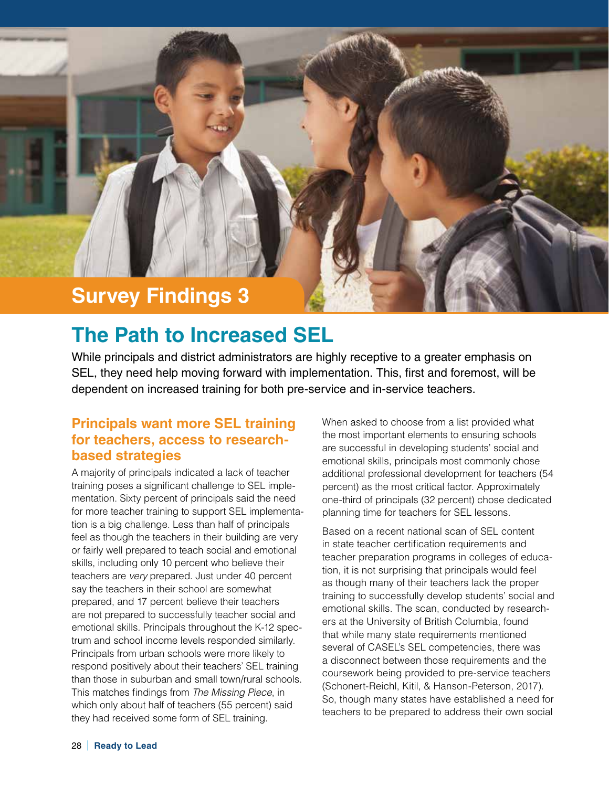

# **The Path to Increased SEL**

While principals and district administrators are highly receptive to a greater emphasis on SEL, they need help moving forward with implementation. This, first and foremost, will be dependent on increased training for both pre-service and in-service teachers.

# **Principals want more SEL training for teachers, access to researchbased strategies**

A majority of principals indicated a lack of teacher training poses a significant challenge to SEL implementation. Sixty percent of principals said the need for more teacher training to support SEL implementation is a big challenge. Less than half of principals feel as though the teachers in their building are very or fairly well prepared to teach social and emotional skills, including only 10 percent who believe their teachers are *very* prepared. Just under 40 percent say the teachers in their school are somewhat prepared, and 17 percent believe their teachers are not prepared to successfully teacher social and emotional skills. Principals throughout the K-12 spectrum and school income levels responded similarly. Principals from urban schools were more likely to respond positively about their teachers' SEL training than those in suburban and small town/rural schools. This matches findings from *The Missing Piece*, in which only about half of teachers (55 percent) said they had received some form of SEL training.

When asked to choose from a list provided what the most important elements to ensuring schools are successful in developing students' social and emotional skills, principals most commonly chose additional professional development for teachers (54 percent) as the most critical factor. Approximately one-third of principals (32 percent) chose dedicated planning time for teachers for SEL lessons.

Based on a recent national scan of SEL content in state teacher certification requirements and teacher preparation programs in colleges of education, it is not surprising that principals would feel as though many of their teachers lack the proper training to successfully develop students' social and emotional skills. The scan, conducted by researchers at the University of British Columbia, found that while many state requirements mentioned several of CASEL's SEL competencies, there was a disconnect between those requirements and the coursework being provided to pre-service teachers (Schonert-Reichl, Kitil, & Hanson-Peterson, 2017). So, though many states have established a need for teachers to be prepared to address their own social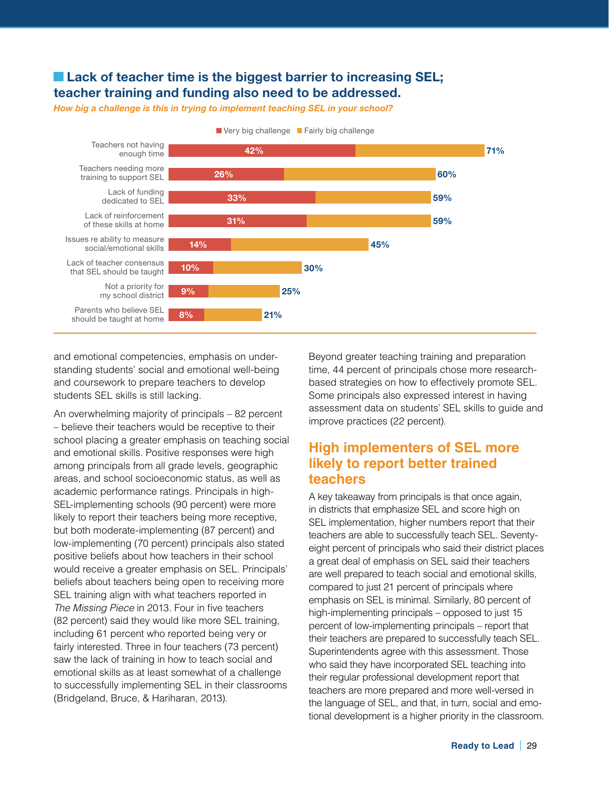## **Example 2 Lack of teacher time is the biggest barrier to increasing SEL; teacher training and funding also need to be addressed.**

*How big a challenge is this in trying to implement teaching SEL in your school?*



and emotional competencies, emphasis on understanding students' social and emotional well-being and coursework to prepare teachers to develop students SEL skills is still lacking.

An overwhelming majority of principals – 82 percent – believe their teachers would be receptive to their school placing a greater emphasis on teaching social and emotional skills. Positive responses were high among principals from all grade levels, geographic areas, and school socioeconomic status, as well as academic performance ratings. Principals in high-SEL-implementing schools (90 percent) were more likely to report their teachers being more receptive, but both moderate-implementing (87 percent) and low-implementing (70 percent) principals also stated positive beliefs about how teachers in their school would receive a greater emphasis on SEL. Principals' beliefs about teachers being open to receiving more SEL training align with what teachers reported in *The Missing Piece* in 2013. Four in five teachers (82 percent) said they would like more SEL training, including 61 percent who reported being very or fairly interested. Three in four teachers (73 percent) saw the lack of training in how to teach social and emotional skills as at least somewhat of a challenge to successfully implementing SEL in their classrooms (Bridgeland, Bruce, & Hariharan, 2013).

Beyond greater teaching training and preparation time, 44 percent of principals chose more researchbased strategies on how to effectively promote SEL. Some principals also expressed interest in having assessment data on students' SEL skills to guide and improve practices (22 percent).

# **High implementers of SEL more likely to report better trained teachers**

A key takeaway from principals is that once again, in districts that emphasize SEL and score high on SEL implementation, higher numbers report that their teachers are able to successfully teach SEL. Seventyeight percent of principals who said their district places a great deal of emphasis on SEL said their teachers are well prepared to teach social and emotional skills, compared to just 21 percent of principals where emphasis on SEL is minimal. Similarly, 80 percent of high-implementing principals – opposed to just 15 percent of low-implementing principals – report that their teachers are prepared to successfully teach SEL. Superintendents agree with this assessment. Those who said they have incorporated SEL teaching into their regular professional development report that teachers are more prepared and more well-versed in the language of SEL, and that, in turn, social and emotional development is a higher priority in the classroom.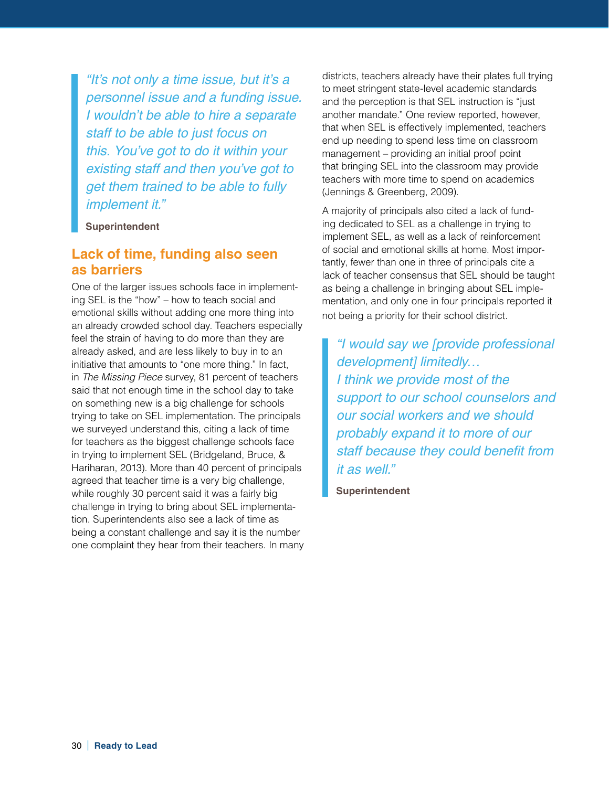*"It's not only a time issue, but it's a personnel issue and a funding issue. I wouldn't be able to hire a separate staff to be able to just focus on this. You've got to do it within your existing staff and then you've got to get them trained to be able to fully implement it."*

**Superintendent**

# **Lack of time, funding also seen as barriers**

One of the larger issues schools face in implementing SEL is the "how" – how to teach social and emotional skills without adding one more thing into an already crowded school day. Teachers especially feel the strain of having to do more than they are already asked, and are less likely to buy in to an initiative that amounts to "one more thing." In fact, in *The Missing Piece* survey, 81 percent of teachers said that not enough time in the school day to take on something new is a big challenge for schools trying to take on SEL implementation. The principals we surveyed understand this, citing a lack of time for teachers as the biggest challenge schools face in trying to implement SEL (Bridgeland, Bruce, & Hariharan, 2013). More than 40 percent of principals agreed that teacher time is a very big challenge, while roughly 30 percent said it was a fairly big challenge in trying to bring about SEL implementation. Superintendents also see a lack of time as being a constant challenge and say it is the number one complaint they hear from their teachers. In many districts, teachers already have their plates full trying to meet stringent state-level academic standards and the perception is that SEL instruction is "just another mandate." One review reported, however, that when SEL is effectively implemented, teachers end up needing to spend less time on classroom management – providing an initial proof point that bringing SEL into the classroom may provide teachers with more time to spend on academics (Jennings & Greenberg, 2009).

A majority of principals also cited a lack of funding dedicated to SEL as a challenge in trying to implement SEL, as well as a lack of reinforcement of social and emotional skills at home. Most importantly, fewer than one in three of principals cite a lack of teacher consensus that SEL should be taught as being a challenge in bringing about SEL implementation, and only one in four principals reported it not being a priority for their school district.

*"I would say we [provide professional development] limitedly… I think we provide most of the support to our school counselors and our social workers and we should probably expand it to more of our staff because they could benefit from it as well."*

**Superintendent**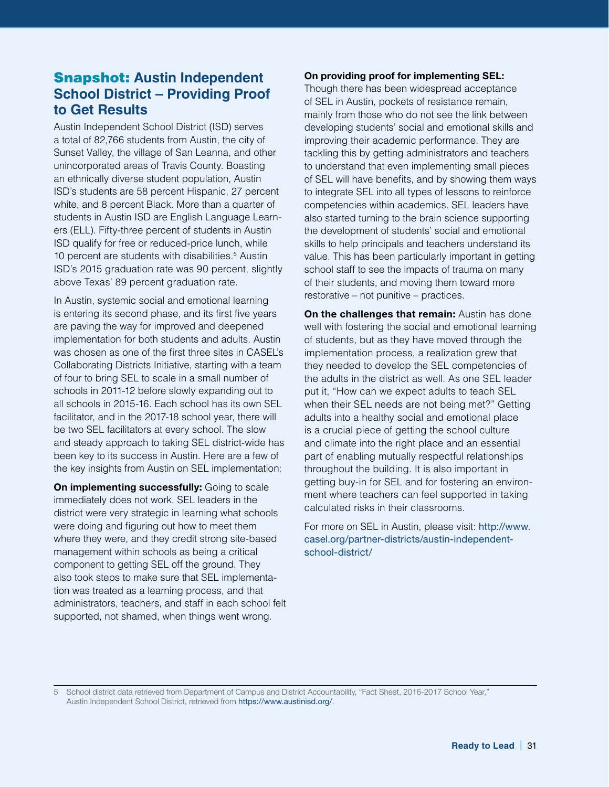# Snapshot: **Austin Independent School District – Providing Proof to Get Results**

Austin Independent School District (ISD) serves a total of 82,766 students from Austin, the city of Sunset Valley, the village of San Leanna, and other unincorporated areas of Travis County. Boasting an ethnically diverse student population, Austin ISD's students are 58 percent Hispanic, 27 percent white, and 8 percent Black. More than a quarter of students in Austin ISD are English Language Learners (ELL). Fifty-three percent of students in Austin ISD qualify for free or reduced-price lunch, while 10 percent are students with disabilities.<sup>5</sup> Austin ISD's 2015 graduation rate was 90 percent, slightly above Texas' 89 percent graduation rate.

In Austin, systemic social and emotional learning is entering its second phase, and its first five years are paving the way for improved and deepened implementation for both students and adults. Austin was chosen as one of the first three sites in CASEL's Collaborating Districts Initiative, starting with a team of four to bring SEL to scale in a small number of schools in 2011-12 before slowly expanding out to all schools in 2015-16. Each school has its own SEL facilitator, and in the 2017-18 school year, there will be two SEL facilitators at every school. The slow and steady approach to taking SEL district-wide has been key to its success in Austin. Here are a few of the key insights from Austin on SEL implementation:

**On implementing successfully:** Going to scale immediately does not work. SEL leaders in the district were very strategic in learning what schools were doing and figuring out how to meet them where they were, and they credit strong site-based management within schools as being a critical component to getting SEL off the ground. They also took steps to make sure that SEL implementation was treated as a learning process, and that administrators, teachers, and staff in each school felt supported, not shamed, when things went wrong.

#### **On providing proof for implementing SEL:**

Though there has been widespread acceptance of SEL in Austin, pockets of resistance remain, mainly from those who do not see the link between developing students' social and emotional skills and improving their academic performance. They are tackling this by getting administrators and teachers to understand that even implementing small pieces of SEL will have benefits, and by showing them ways to integrate SEL into all types of lessons to reinforce competencies within academics. SEL leaders have also started turning to the brain science supporting the development of students' social and emotional skills to help principals and teachers understand its value. This has been particularly important in getting school staff to see the impacts of trauma on many of their students, and moving them toward more restorative – not punitive – practices.

**On the challenges that remain:** Austin has done well with fostering the social and emotional learning of students, but as they have moved through the implementation process, a realization grew that they needed to develop the SEL competencies of the adults in the district as well. As one SEL leader put it, "How can we expect adults to teach SEL when their SEL needs are not being met?" Getting adults into a healthy social and emotional place is a crucial piece of getting the school culture and climate into the right place and an essential part of enabling mutually respectful relationships throughout the building. It is also important in getting buy-in for SEL and for fostering an environment where teachers can feel supported in taking calculated risks in their classrooms.

For more on SEL in Austin, please visit: [http://www.](http://www.casel.org/partner-districts/austin-independent-school-district/) [casel.org/partner-districts/austin-independent](http://www.casel.org/partner-districts/austin-independent-school-district/)[school-district/](http://www.casel.org/partner-districts/austin-independent-school-district/)

5 School district data retrieved from Department of Campus and District Accountability, "Fact Sheet, 2016-2017 School Year," Austin Independent School District, retrieved from <https://www.austinisd.org/>.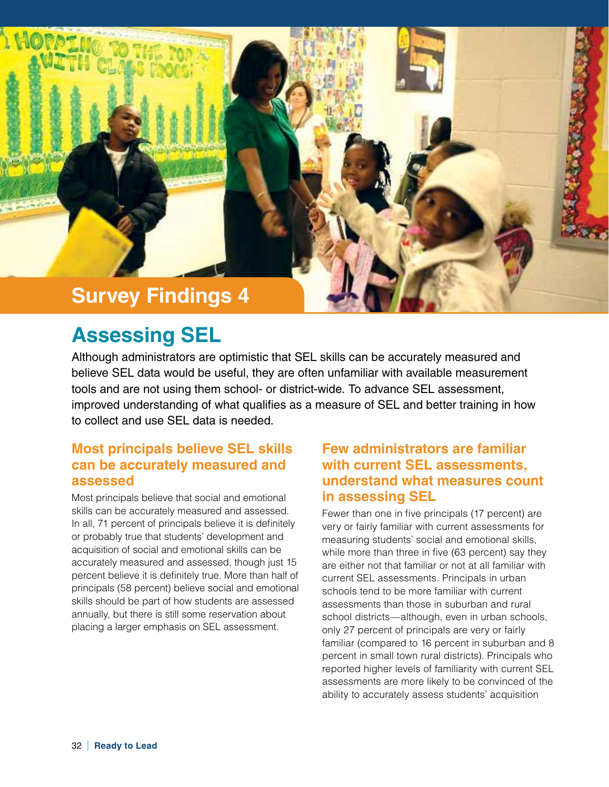

# **Assessing SEL**

Although administrators are optimistic that SEL skills can be accurately measured and believe SEL data would be useful, they are often unfamiliar with available measurement tools and are not using them school- or district-wide. To advance SEL assessment, improved understanding of what qualifies as a measure of SEL and better training in how to collect and use SEL data is needed.

# **Most principals believe SEL skills can be accurately measured and assessed**

Most principals believe that social and emotional skills can be accurately measured and assessed. In all, 71 percent of principals believe it is definitely or probably true that students' development and acquisition of social and emotional skills can be accurately measured and assessed, though just 15 percent believe it is definitely true. More than half of principals (58 percent) believe social and emotional skills should be part of how students are assessed annually, but there is still some reservation about placing a larger emphasis on SEL assessment.

# **Few administrators are familiar with current SEL assessments, understand what measures count in assessing SEL**

Fewer than one in five principals (17 percent) are very or fairly familiar with current assessments for measuring students' social and emotional skills, while more than three in five (63 percent) say they are either not that familiar or not at all familiar with current SEL assessments. Principals in urban schools tend to be more familiar with current assessments than those in suburban and rural school districts—although, even in urban schools, only 27 percent of principals are very or fairly familiar (compared to 16 percent in suburban and 8 percent in small town rural districts). Principals who reported higher levels of familiarity with current SEL assessments are more likely to be convinced of the ability to accurately assess students' acquisition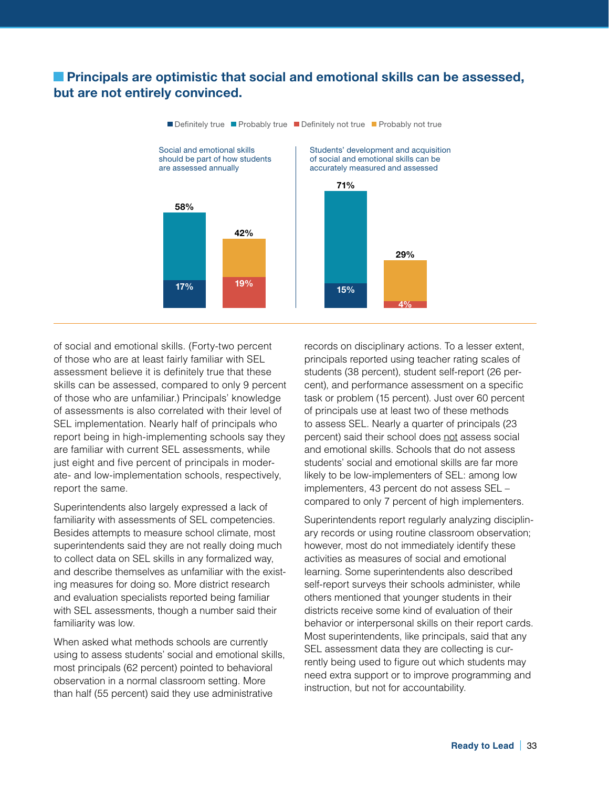## **Exercise 2 Principals are optimistic that social and emotional skills can be assessed, but are not entirely convinced.**



of social and emotional skills. (Forty-two percent of those who are at least fairly familiar with SEL assessment believe it is definitely true that these skills can be assessed, compared to only 9 percent of those who are unfamiliar.) Principals' knowledge of assessments is also correlated with their level of SEL implementation. Nearly half of principals who report being in high-implementing schools say they are familiar with current SEL assessments, while just eight and five percent of principals in moderate- and low-implementation schools, respectively, report the same.

Superintendents also largely expressed a lack of familiarity with assessments of SEL competencies. Besides attempts to measure school climate, most superintendents said they are not really doing much to collect data on SEL skills in any formalized way, and describe themselves as unfamiliar with the existing measures for doing so. More district research and evaluation specialists reported being familiar with SEL assessments, though a number said their familiarity was low.

When asked what methods schools are currently using to assess students' social and emotional skills, most principals (62 percent) pointed to behavioral observation in a normal classroom setting. More than half (55 percent) said they use administrative

records on disciplinary actions. To a lesser extent, principals reported using teacher rating scales of students (38 percent), student self-report (26 percent), and performance assessment on a specific task or problem (15 percent). Just over 60 percent of principals use at least two of these methods to assess SEL. Nearly a quarter of principals (23 percent) said their school does not assess social and emotional skills. Schools that do not assess students' social and emotional skills are far more likely to be low-implementers of SEL: among low implementers, 43 percent do not assess SEL – compared to only 7 percent of high implementers.

Superintendents report regularly analyzing disciplinary records or using routine classroom observation; however, most do not immediately identify these activities as measures of social and emotional learning. Some superintendents also described self-report surveys their schools administer, while others mentioned that younger students in their districts receive some kind of evaluation of their behavior or interpersonal skills on their report cards. Most superintendents, like principals, said that any SEL assessment data they are collecting is currently being used to figure out which students may need extra support or to improve programming and instruction, but not for accountability.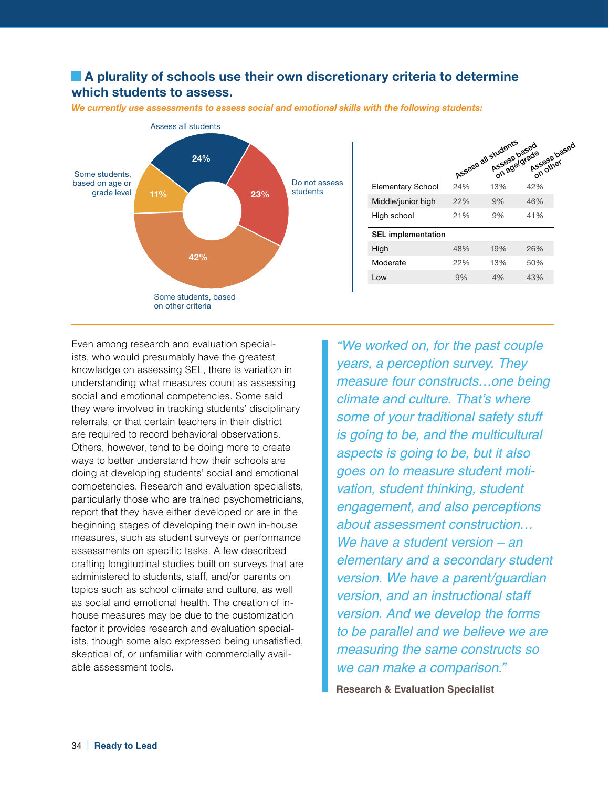# **A plurality of schools use their own discretionary criteria to determine which students to assess.**



*We currently use assessments to assess social and emotional skills with the following students:*

|                           |     | Assess all students<br>in Assess based<br>On agelgrade | Assessbased |
|---------------------------|-----|--------------------------------------------------------|-------------|
| Elementary School         | 24% | 13%                                                    | 42%         |
| Middle/junior high        | 22% | 9%                                                     | 46%         |
| High school               | 21% | 9%                                                     | 41%         |
| <b>SEL</b> implementation |     |                                                        |             |
| High                      | 48% | 19%                                                    | 26%         |
| Moderate                  | 22% | 13%                                                    | 50%         |
| Low                       | 9%  | 4%                                                     | 43%         |

Even among research and evaluation specialists, who would presumably have the greatest knowledge on assessing SEL, there is variation in understanding what measures count as assessing social and emotional competencies. Some said they were involved in tracking students' disciplinary referrals, or that certain teachers in their district are required to record behavioral observations. Others, however, tend to be doing more to create ways to better understand how their schools are doing at developing students' social and emotional competencies. Research and evaluation specialists, particularly those who are trained psychometricians, report that they have either developed or are in the beginning stages of developing their own in-house measures, such as student surveys or performance assessments on specific tasks. A few described crafting longitudinal studies built on surveys that are administered to students, staff, and/or parents on topics such as school climate and culture, as well as social and emotional health. The creation of inhouse measures may be due to the customization factor it provides research and evaluation specialists, though some also expressed being unsatisfied, skeptical of, or unfamiliar with commercially available assessment tools.

*"We worked on, for the past couple years, a perception survey. They measure four constructs…one being climate and culture. That's where some of your traditional safety stuff is going to be, and the multicultural aspects is going to be, but it also goes on to measure student motivation, student thinking, student engagement, and also perceptions about assessment construction… We have a student version – an elementary and a secondary student version. We have a parent/guardian version, and an instructional staff version. And we develop the forms to be parallel and we believe we are measuring the same constructs so we can make a comparison."*

**Research & Evaluation Specialist**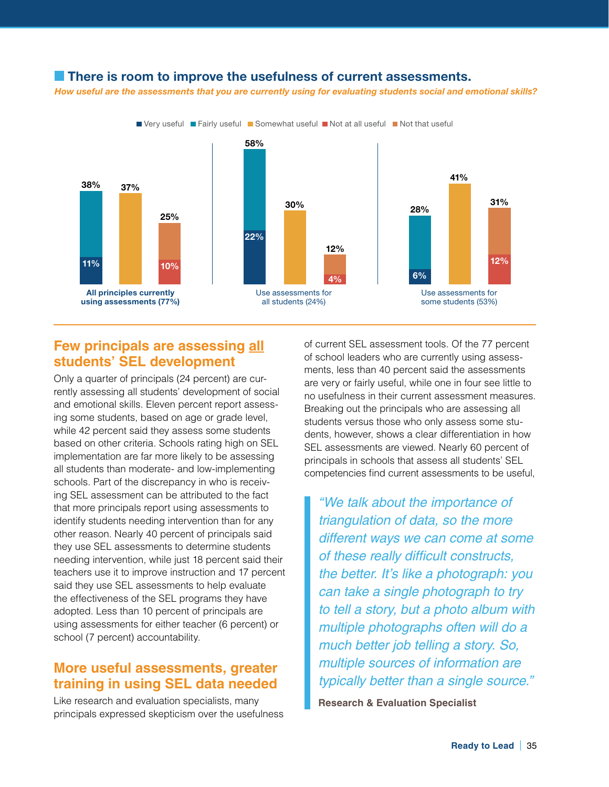#### **There is room to improve the usefulness of current assessments.**

*How useful are the assessments that you are currently using for evaluating students social and emotional skills?*



# **Few principals are assessing all students' SEL development**

Only a quarter of principals (24 percent) are currently assessing all students' development of social and emotional skills. Eleven percent report assessing some students, based on age or grade level, while 42 percent said they assess some students based on other criteria. Schools rating high on SEL implementation are far more likely to be assessing all students than moderate- and low-implementing schools. Part of the discrepancy in who is receiving SEL assessment can be attributed to the fact that more principals report using assessments to identify students needing intervention than for any other reason. Nearly 40 percent of principals said they use SEL assessments to determine students needing intervention, while just 18 percent said their teachers use it to improve instruction and 17 percent said they use SEL assessments to help evaluate the effectiveness of the SEL programs they have adopted. Less than 10 percent of principals are using assessments for either teacher (6 percent) or school (7 percent) accountability.

# **More useful assessments, greater training in using SEL data needed**

Like research and evaluation specialists, many principals expressed skepticism over the usefulness of current SEL assessment tools. Of the 77 percent of school leaders who are currently using assessments, less than 40 percent said the assessments are very or fairly useful, while one in four see little to no usefulness in their current assessment measures. Breaking out the principals who are assessing all students versus those who only assess some students, however, shows a clear differentiation in how SEL assessments are viewed. Nearly 60 percent of principals in schools that assess all students' SEL competencies find current assessments to be useful,

*"We talk about the importance of triangulation of data, so the more different ways we can come at some of these really difficult constructs, the better. It's like a photograph: you can take a single photograph to try to tell a story, but a photo album with multiple photographs often will do a much better job telling a story. So, multiple sources of information are typically better than a single source."*

**Research & Evaluation Specialist**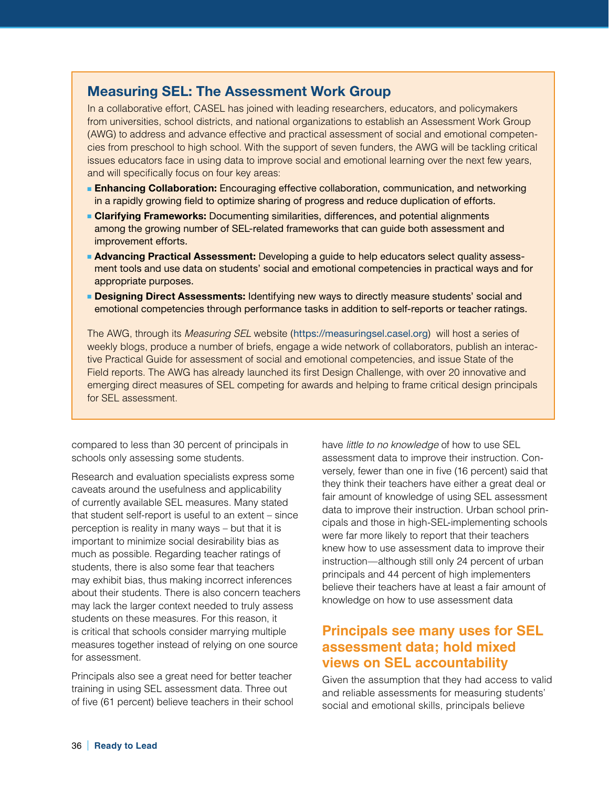## **Measuring SEL: The Assessment Work Group**

In a collaborative effort, CASEL has joined with leading researchers, educators, and policymakers from universities, school districts, and national organizations to establish an Assessment Work Group (AWG) to address and advance effective and practical assessment of social and emotional competencies from preschool to high school. With the support of seven funders, the AWG will be tackling critical issues educators face in using data to improve social and emotional learning over the next few years, and will specifically focus on four key areas:

- **Enhancing Collaboration:** Encouraging effective collaboration, communication, and networking in a rapidly growing field to optimize sharing of progress and reduce duplication of efforts.
- **Clarifying Frameworks:** Documenting similarities, differences, and potential alignments among the growing number of SEL-related frameworks that can guide both assessment and improvement efforts.
- **Advancing Practical Assessment:** Developing a guide to help educators select quality assessment tools and use data on students' social and emotional competencies in practical ways and for appropriate purposes.
- **Designing Direct Assessments:** Identifying new ways to directly measure students' social and emotional competencies through performance tasks in addition to self-reports or teacher ratings.

The AWG, through its *Measuring SEL* website (https://measuringsel.casel.org) will host a series of weekly blogs, produce a number of briefs, engage a wide network of collaborators, publish an interactive Practical Guide for assessment of social and emotional competencies, and issue State of the Field reports. The AWG has already launched its first Design Challenge, with over 20 innovative and emerging direct measures of SEL competing for awards and helping to frame critical design principals for SEL assessment.

compared to less than 30 percent of principals in schools only assessing some students.

Research and evaluation specialists express some caveats around the usefulness and applicability of currently available SEL measures. Many stated that student self-report is useful to an extent – since perception is reality in many ways – but that it is important to minimize social desirability bias as much as possible. Regarding teacher ratings of students, there is also some fear that teachers may exhibit bias, thus making incorrect inferences about their students. There is also concern teachers may lack the larger context needed to truly assess students on these measures. For this reason, it is critical that schools consider marrying multiple measures together instead of relying on one source for assessment.

Principals also see a great need for better teacher training in using SEL assessment data. Three out of five (61 percent) believe teachers in their school have *little to no knowledge* of how to use SEL assessment data to improve their instruction. Conversely, fewer than one in five (16 percent) said that they think their teachers have either a great deal or fair amount of knowledge of using SEL assessment data to improve their instruction. Urban school principals and those in high-SEL-implementing schools were far more likely to report that their teachers knew how to use assessment data to improve their instruction—although still only 24 percent of urban principals and 44 percent of high implementers believe their teachers have at least a fair amount of knowledge on how to use assessment data

# **Principals see many uses for SEL assessment data; hold mixed views on SEL accountability**

Given the assumption that they had access to valid and reliable assessments for measuring students' social and emotional skills, principals believe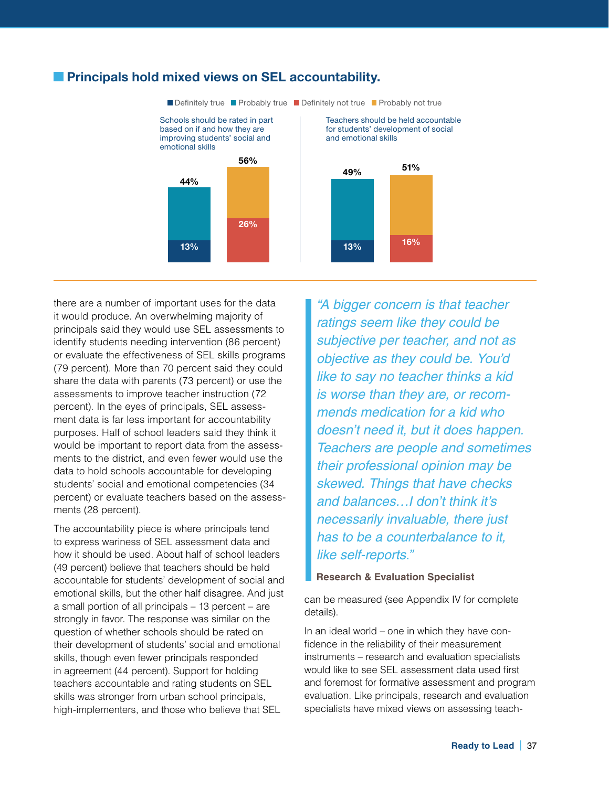

## **Principals hold mixed views on SEL accountability.**

there are a number of important uses for the data it would produce. An overwhelming majority of principals said they would use SEL assessments to identify students needing intervention (86 percent) or evaluate the effectiveness of SEL skills programs (79 percent). More than 70 percent said they could share the data with parents (73 percent) or use the assessments to improve teacher instruction (72 percent). In the eyes of principals, SEL assessment data is far less important for accountability purposes. Half of school leaders said they think it would be important to report data from the assessments to the district, and even fewer would use the data to hold schools accountable for developing students' social and emotional competencies (34 percent) or evaluate teachers based on the assessments (28 percent).

The accountability piece is where principals tend to express wariness of SEL assessment data and how it should be used. About half of school leaders (49 percent) believe that teachers should be held accountable for students' development of social and emotional skills, but the other half disagree. And just a small portion of all principals – 13 percent – are strongly in favor. The response was similar on the question of whether schools should be rated on their development of students' social and emotional skills, though even fewer principals responded in agreement (44 percent). Support for holding teachers accountable and rating students on SEL skills was stronger from urban school principals, high-implementers, and those who believe that SEL

*"A bigger concern is that teacher ratings seem like they could be subjective per teacher, and not as objective as they could be. You'd like to say no teacher thinks a kid is worse than they are, or recommends medication for a kid who doesn't need it, but it does happen. Teachers are people and sometimes their professional opinion may be skewed. Things that have checks and balances…I don't think it's necessarily invaluable, there just has to be a counterbalance to it, like self-reports."*

#### **Research & Evaluation Specialist**

can be measured (see Appendix IV for complete details).

In an ideal world – one in which they have confidence in the reliability of their measurement instruments – research and evaluation specialists would like to see SEL assessment data used first and foremost for formative assessment and program evaluation. Like principals, research and evaluation specialists have mixed views on assessing teach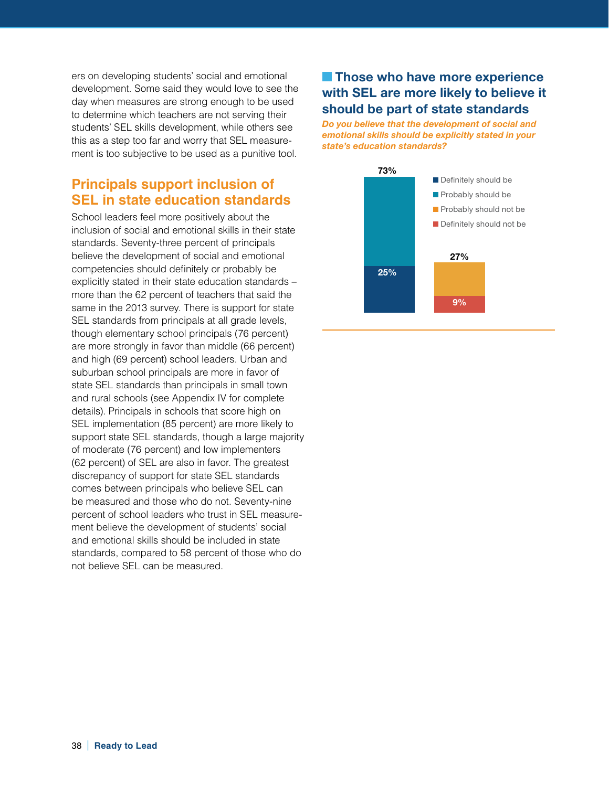ers on developing students' social and emotional development. Some said they would love to see the day when measures are strong enough to be used to determine which teachers are not serving their students' SEL skills development, while others see this as a step too far and worry that SEL measurement is too subjective to be used as a punitive tool.

# **Principals support inclusion of SEL in state education standards**

School leaders feel more positively about the inclusion of social and emotional skills in their state standards. Seventy-three percent of principals believe the development of social and emotional competencies should definitely or probably be explicitly stated in their state education standards – more than the 62 percent of teachers that said the same in the 2013 survey. There is support for state SEL standards from principals at all grade levels, though elementary school principals (76 percent) are more strongly in favor than middle (66 percent) and high (69 percent) school leaders. Urban and suburban school principals are more in favor of state SEL standards than principals in small town and rural schools (see Appendix IV for complete details). Principals in schools that score high on SEL implementation (85 percent) are more likely to support state SEL standards, though a large majority of moderate (76 percent) and low implementers (62 percent) of SEL are also in favor. The greatest discrepancy of support for state SEL standards comes between principals who believe SEL can be measured and those who do not. Seventy-nine percent of school leaders who trust in SEL measurement believe the development of students' social and emotional skills should be included in state standards, compared to 58 percent of those who do not believe SEL can be measured.

# **External Those who have more experience with SEL are more likely to believe it should be part of state standards**

*Do you believe that the development of social and emotional skills should be explicitly stated in your state's education standards?*

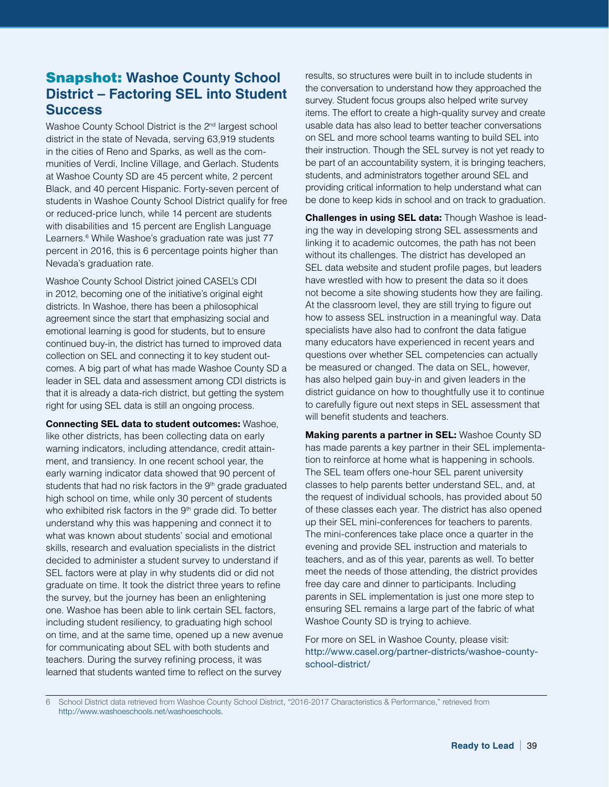# Snapshot: **Washoe County School District – Factoring SEL into Student Success**

Washoe County School District is the 2<sup>nd</sup> largest school district in the state of Nevada, serving 63,919 students in the cities of Reno and Sparks, as well as the communities of Verdi, Incline Village, and Gerlach. Students at Washoe County SD are 45 percent white, 2 percent Black, and 40 percent Hispanic. Forty-seven percent of students in Washoe County School District qualify for free or reduced-price lunch, while 14 percent are students with disabilities and 15 percent are English Language Learners.<sup>6</sup> While Washoe's graduation rate was just 77 percent in 2016, this is 6 percentage points higher than Nevada's graduation rate.

Washoe County School District joined CASEL's CDI in 2012, becoming one of the initiative's original eight districts. In Washoe, there has been a philosophical agreement since the start that emphasizing social and emotional learning is good for students, but to ensure continued buy-in, the district has turned to improved data collection on SEL and connecting it to key student outcomes. A big part of what has made Washoe County SD a leader in SEL data and assessment among CDI districts is that it is already a data-rich district, but getting the system right for using SEL data is still an ongoing process.

**Connecting SEL data to student outcomes:** Washoe, like other districts, has been collecting data on early warning indicators, including attendance, credit attainment, and transiency. In one recent school year, the early warning indicator data showed that 90 percent of students that had no risk factors in the 9<sup>th</sup> grade graduated high school on time, while only 30 percent of students who exhibited risk factors in the 9<sup>th</sup> grade did. To better understand why this was happening and connect it to what was known about students' social and emotional skills, research and evaluation specialists in the district decided to administer a student survey to understand if SEL factors were at play in why students did or did not graduate on time. It took the district three years to refine the survey, but the journey has been an enlightening one. Washoe has been able to link certain SEL factors, including student resiliency, to graduating high school on time, and at the same time, opened up a new avenue for communicating about SEL with both students and teachers. During the survey refining process, it was learned that students wanted time to reflect on the survey

results, so structures were built in to include students in the conversation to understand how they approached the survey. Student focus groups also helped write survey items. The effort to create a high-quality survey and create usable data has also lead to better teacher conversations on SEL and more school teams wanting to build SEL into their instruction. Though the SEL survey is not yet ready to be part of an accountability system, it is bringing teachers, students, and administrators together around SEL and providing critical information to help understand what can be done to keep kids in school and on track to graduation.

**Challenges in using SEL data:** Though Washoe is leading the way in developing strong SEL assessments and linking it to academic outcomes, the path has not been without its challenges. The district has developed an SEL data website and student profile pages, but leaders have wrestled with how to present the data so it does not become a site showing students how they are failing. At the classroom level, they are still trying to figure out how to assess SEL instruction in a meaningful way. Data specialists have also had to confront the data fatigue many educators have experienced in recent years and questions over whether SEL competencies can actually be measured or changed. The data on SEL, however, has also helped gain buy-in and given leaders in the district guidance on how to thoughtfully use it to continue to carefully figure out next steps in SEL assessment that will benefit students and teachers.

**Making parents a partner in SEL:** Washoe County SD has made parents a key partner in their SEL implementation to reinforce at home what is happening in schools. The SEL team offers one-hour SEL parent university classes to help parents better understand SEL, and, at the request of individual schools, has provided about 50 of these classes each year. The district has also opened up their SEL mini-conferences for teachers to parents. The mini-conferences take place once a quarter in the evening and provide SEL instruction and materials to teachers, and as of this year, parents as well. To better meet the needs of those attending, the district provides free day care and dinner to participants. Including parents in SEL implementation is just one more step to ensuring SEL remains a large part of the fabric of what Washoe County SD is trying to achieve.

For more on SEL in Washoe County, please visit: [http://www.casel.org/partner-districts/washoe-county](http://www.casel.org/partner-districts/washoe-county-school-district/)[school-district/](http://www.casel.org/partner-districts/washoe-county-school-district/)

6 School District data retrieved from Washoe County School District, "2016-2017 Characteristics & Performance," retrieved from http://www.washoeschools.net/washoeschools.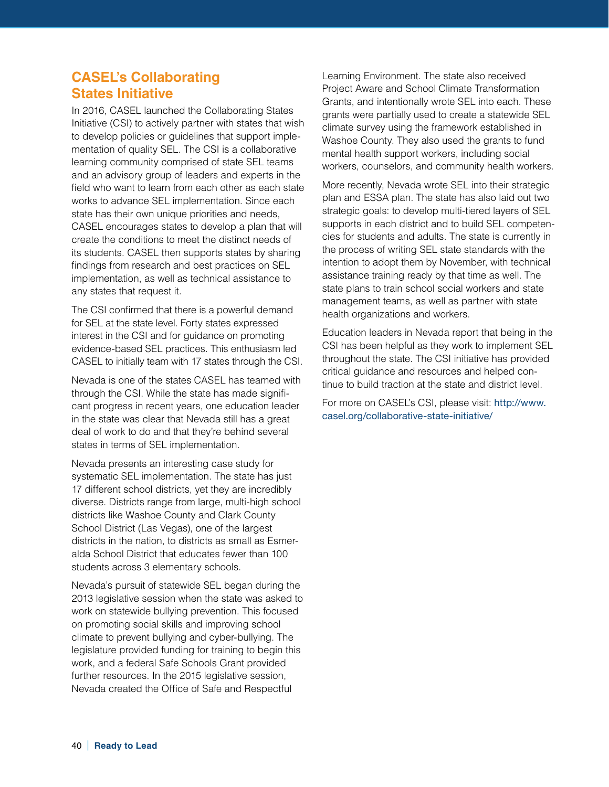# **CASEL's Collaborating States Initiative**

In 2016, CASEL launched the Collaborating States Initiative (CSI) to actively partner with states that wish to develop policies or guidelines that support implementation of quality SEL. The CSI is a collaborative learning community comprised of state SEL teams and an advisory group of leaders and experts in the field who want to learn from each other as each state works to advance SEL implementation. Since each state has their own unique priorities and needs, CASEL encourages states to develop a plan that will create the conditions to meet the distinct needs of its students. CASEL then supports states by sharing findings from research and best practices on SEL implementation, as well as technical assistance to any states that request it.

The CSI confirmed that there is a powerful demand for SEL at the state level. Forty states expressed interest in the CSI and for guidance on promoting evidence-based SEL practices. This enthusiasm led CASEL to initially team with 17 states through the CSI.

Nevada is one of the states CASEL has teamed with through the CSI. While the state has made significant progress in recent years, one education leader in the state was clear that Nevada still has a great deal of work to do and that they're behind several states in terms of SEL implementation.

Nevada presents an interesting case study for systematic SEL implementation. The state has just 17 different school districts, yet they are incredibly diverse. Districts range from large, multi-high school districts like Washoe County and Clark County School District (Las Vegas), one of the largest districts in the nation, to districts as small as Esmeralda School District that educates fewer than 100 students across 3 elementary schools.

Nevada's pursuit of statewide SEL began during the 2013 legislative session when the state was asked to work on statewide bullying prevention. This focused on promoting social skills and improving school climate to prevent bullying and cyber-bullying. The legislature provided funding for training to begin this work, and a federal Safe Schools Grant provided further resources. In the 2015 legislative session, Nevada created the Office of Safe and Respectful

Learning Environment. The state also received Project Aware and School Climate Transformation Grants, and intentionally wrote SEL into each. These grants were partially used to create a statewide SEL climate survey using the framework established in Washoe County. They also used the grants to fund mental health support workers, including social workers, counselors, and community health workers.

More recently, Nevada wrote SEL into their strategic plan and ESSA plan. The state has also laid out two strategic goals: to develop multi-tiered layers of SEL supports in each district and to build SEL competencies for students and adults. The state is currently in the process of writing SEL state standards with the intention to adopt them by November, with technical assistance training ready by that time as well. The state plans to train school social workers and state management teams, as well as partner with state health organizations and workers.

Education leaders in Nevada report that being in the CSI has been helpful as they work to implement SEL throughout the state. The CSI initiative has provided critical guidance and resources and helped continue to build traction at the state and district level.

For more on CASEL's CSI, please visit: [http://www.](http://www.casel.org/collaborative-state-initiative/) [casel.org/collaborative-state-initiative/](http://www.casel.org/collaborative-state-initiative/)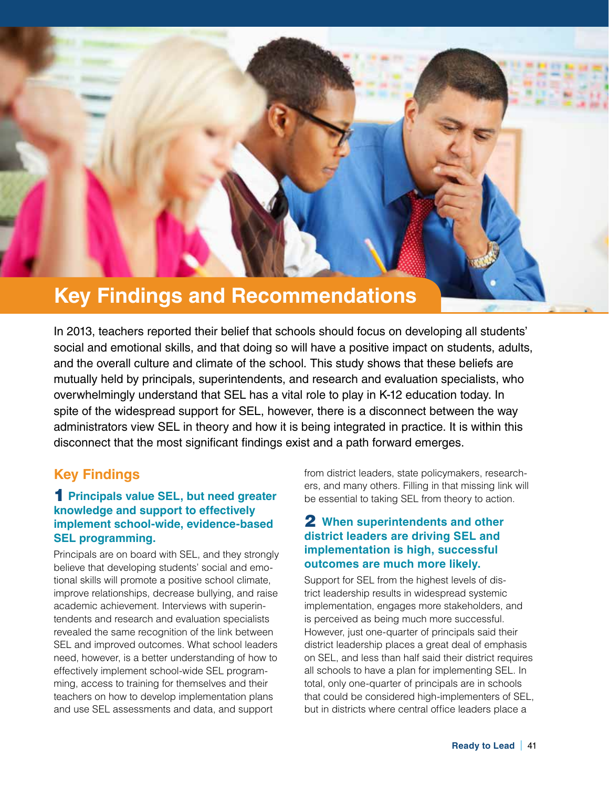

In 2013, teachers reported their belief that schools should focus on developing all students' social and emotional skills, and that doing so will have a positive impact on students, adults, and the overall culture and climate of the school. This study shows that these beliefs are mutually held by principals, superintendents, and research and evaluation specialists, who overwhelmingly understand that SEL has a vital role to play in K-12 education today. In spite of the widespread support for SEL, however, there is a disconnect between the way administrators view SEL in theory and how it is being integrated in practice. It is within this disconnect that the most significant findings exist and a path forward emerges.

# **Key Findings**

#### 1 **Principals value SEL, but need greater knowledge and support to effectively implement school-wide, evidence-based SEL programming.**

Principals are on board with SEL, and they strongly believe that developing students' social and emotional skills will promote a positive school climate, improve relationships, decrease bullying, and raise academic achievement. Interviews with superintendents and research and evaluation specialists revealed the same recognition of the link between SEL and improved outcomes. What school leaders need, however, is a better understanding of how to effectively implement school-wide SEL programming, access to training for themselves and their teachers on how to develop implementation plans and use SEL assessments and data, and support

from district leaders, state policymakers, researchers, and many others. Filling in that missing link will be essential to taking SEL from theory to action.

#### 2 **When superintendents and other district leaders are driving SEL and implementation is high, successful outcomes are much more likely.**

Support for SEL from the highest levels of district leadership results in widespread systemic implementation, engages more stakeholders, and is perceived as being much more successful. However, just one-quarter of principals said their district leadership places a great deal of emphasis on SEL, and less than half said their district requires all schools to have a plan for implementing SEL. In total, only one-quarter of principals are in schools that could be considered high-implementers of SEL, but in districts where central office leaders place a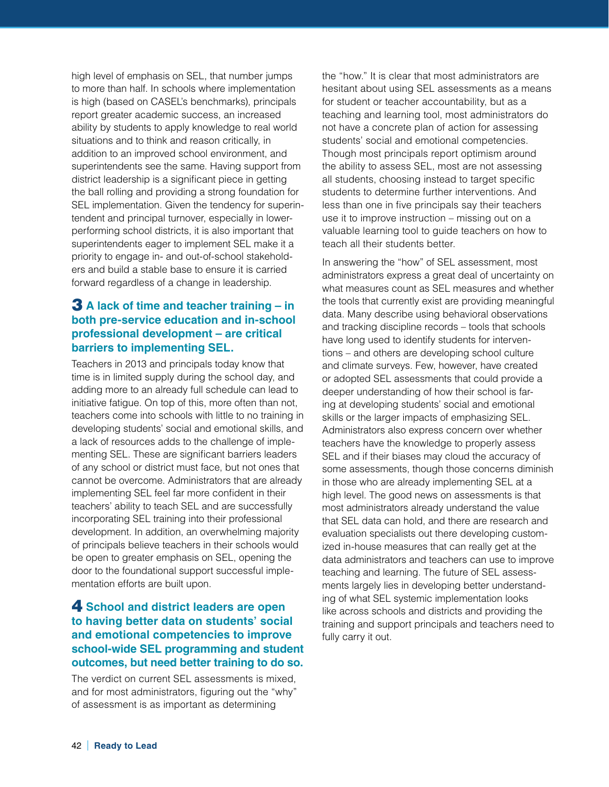high level of emphasis on SEL, that number jumps to more than half. In schools where implementation is high (based on CASEL's benchmarks), principals report greater academic success, an increased ability by students to apply knowledge to real world situations and to think and reason critically, in addition to an improved school environment, and superintendents see the same. Having support from district leadership is a significant piece in getting the ball rolling and providing a strong foundation for SEL implementation. Given the tendency for superintendent and principal turnover, especially in lowerperforming school districts, it is also important that superintendents eager to implement SEL make it a priority to engage in- and out-of-school stakeholders and build a stable base to ensure it is carried forward regardless of a change in leadership.

## 3 **A lack of time and teacher training – in both pre-service education and in-school professional development – are critical barriers to implementing SEL.**

Teachers in 2013 and principals today know that time is in limited supply during the school day, and adding more to an already full schedule can lead to initiative fatigue. On top of this, more often than not, teachers come into schools with little to no training in developing students' social and emotional skills, and a lack of resources adds to the challenge of implementing SEL. These are significant barriers leaders of any school or district must face, but not ones that cannot be overcome. Administrators that are already implementing SEL feel far more confident in their teachers' ability to teach SEL and are successfully incorporating SEL training into their professional development. In addition, an overwhelming majority of principals believe teachers in their schools would be open to greater emphasis on SEL, opening the door to the foundational support successful implementation efforts are built upon.

#### 4 **School and district leaders are open to having better data on students' social and emotional competencies to improve school-wide SEL programming and student outcomes, but need better training to do so.**

The verdict on current SEL assessments is mixed, and for most administrators, figuring out the "why" of assessment is as important as determining

the "how." It is clear that most administrators are hesitant about using SEL assessments as a means for student or teacher accountability, but as a teaching and learning tool, most administrators do not have a concrete plan of action for assessing students' social and emotional competencies. Though most principals report optimism around the ability to assess SEL, most are not assessing all students, choosing instead to target specific students to determine further interventions. And less than one in five principals say their teachers use it to improve instruction – missing out on a valuable learning tool to guide teachers on how to teach all their students better.

In answering the "how" of SEL assessment, most administrators express a great deal of uncertainty on what measures count as SEL measures and whether the tools that currently exist are providing meaningful data. Many describe using behavioral observations and tracking discipline records – tools that schools have long used to identify students for interventions – and others are developing school culture and climate surveys. Few, however, have created or adopted SEL assessments that could provide a deeper understanding of how their school is faring at developing students' social and emotional skills or the larger impacts of emphasizing SEL. Administrators also express concern over whether teachers have the knowledge to properly assess SEL and if their biases may cloud the accuracy of some assessments, though those concerns diminish in those who are already implementing SEL at a high level. The good news on assessments is that most administrators already understand the value that SEL data can hold, and there are research and evaluation specialists out there developing customized in-house measures that can really get at the data administrators and teachers can use to improve teaching and learning. The future of SEL assessments largely lies in developing better understanding of what SEL systemic implementation looks like across schools and districts and providing the training and support principals and teachers need to fully carry it out.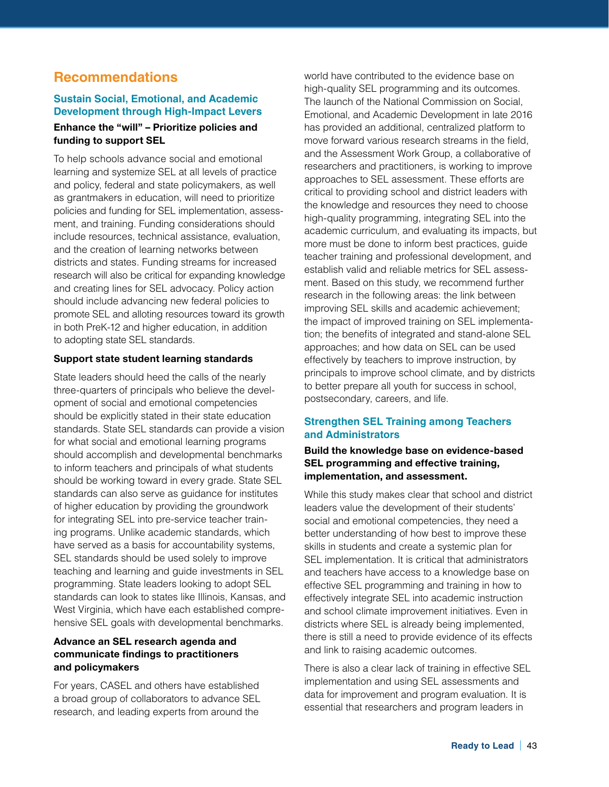# **Recommendations**

#### **Sustain Social, Emotional, and Academic Development through High-Impact Levers**

#### **Enhance the "will" – Prioritize policies and funding to support SEL**

To help schools advance social and emotional learning and systemize SEL at all levels of practice and policy, federal and state policymakers, as well as grantmakers in education, will need to prioritize policies and funding for SEL implementation, assessment, and training. Funding considerations should include resources, technical assistance, evaluation, and the creation of learning networks between districts and states. Funding streams for increased research will also be critical for expanding knowledge and creating lines for SEL advocacy. Policy action should include advancing new federal policies to promote SEL and alloting resources toward its growth in both PreK-12 and higher education, in addition to adopting state SEL standards.

#### **Support state student learning standards**

State leaders should heed the calls of the nearly three-quarters of principals who believe the development of social and emotional competencies should be explicitly stated in their state education standards. State SEL standards can provide a vision for what social and emotional learning programs should accomplish and developmental benchmarks to inform teachers and principals of what students should be working toward in every grade. State SEL standards can also serve as guidance for institutes of higher education by providing the groundwork for integrating SEL into pre-service teacher training programs. Unlike academic standards, which have served as a basis for accountability systems, SEL standards should be used solely to improve teaching and learning and guide investments in SEL programming. State leaders looking to adopt SEL standards can look to states like Illinois, Kansas, and West Virginia, which have each established comprehensive SEL goals with developmental benchmarks.

#### **Advance an SEL research agenda and communicate findings to practitioners and policymakers**

For years, CASEL and others have established a broad group of collaborators to advance SEL research, and leading experts from around the

world have contributed to the evidence base on high-quality SEL programming and its outcomes. The launch of the National Commission on Social, Emotional, and Academic Development in late 2016 has provided an additional, centralized platform to move forward various research streams in the field, and the Assessment Work Group, a collaborative of researchers and practitioners, is working to improve approaches to SEL assessment. These efforts are critical to providing school and district leaders with the knowledge and resources they need to choose high-quality programming, integrating SEL into the academic curriculum, and evaluating its impacts, but more must be done to inform best practices, guide teacher training and professional development, and establish valid and reliable metrics for SEL assessment. Based on this study, we recommend further research in the following areas: the link between improving SEL skills and academic achievement; the impact of improved training on SEL implementation; the benefits of integrated and stand-alone SEL approaches; and how data on SEL can be used effectively by teachers to improve instruction, by principals to improve school climate, and by districts to better prepare all youth for success in school, postsecondary, careers, and life.

#### **Strengthen SEL Training among Teachers and Administrators**

#### **Build the knowledge base on evidence-based SEL programming and effective training, implementation, and assessment.**

While this study makes clear that school and district leaders value the development of their students' social and emotional competencies, they need a better understanding of how best to improve these skills in students and create a systemic plan for SEL implementation. It is critical that administrators and teachers have access to a knowledge base on effective SEL programming and training in how to effectively integrate SEL into academic instruction and school climate improvement initiatives. Even in districts where SEL is already being implemented, there is still a need to provide evidence of its effects and link to raising academic outcomes.

There is also a clear lack of training in effective SEL implementation and using SEL assessments and data for improvement and program evaluation. It is essential that researchers and program leaders in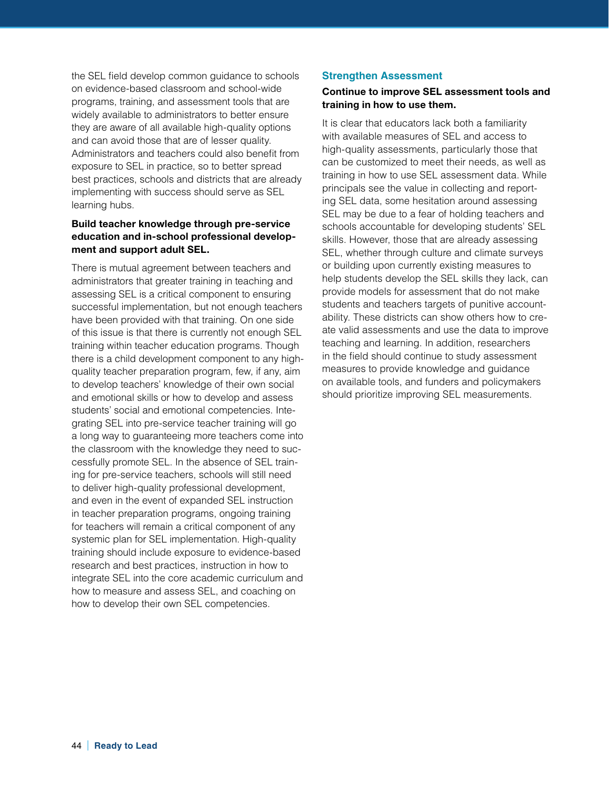the SEL field develop common guidance to schools on evidence-based classroom and school-wide programs, training, and assessment tools that are widely available to administrators to better ensure they are aware of all available high-quality options and can avoid those that are of lesser quality. Administrators and teachers could also benefit from exposure to SEL in practice, so to better spread best practices, schools and districts that are already implementing with success should serve as SEL learning hubs.

#### **Build teacher knowledge through pre-service education and in-school professional development and support adult SEL.**

There is mutual agreement between teachers and administrators that greater training in teaching and assessing SEL is a critical component to ensuring successful implementation, but not enough teachers have been provided with that training. On one side of this issue is that there is currently not enough SEL training within teacher education programs. Though there is a child development component to any highquality teacher preparation program, few, if any, aim to develop teachers' knowledge of their own social and emotional skills or how to develop and assess students' social and emotional competencies. Integrating SEL into pre-service teacher training will go a long way to guaranteeing more teachers come into the classroom with the knowledge they need to successfully promote SEL. In the absence of SEL training for pre-service teachers, schools will still need to deliver high-quality professional development, and even in the event of expanded SEL instruction in teacher preparation programs, ongoing training for teachers will remain a critical component of any systemic plan for SEL implementation. High-quality training should include exposure to evidence-based research and best practices, instruction in how to integrate SEL into the core academic curriculum and how to measure and assess SEL, and coaching on how to develop their own SEL competencies.

#### **Strengthen Assessment**

#### **Continue to improve SEL assessment tools and training in how to use them.**

It is clear that educators lack both a familiarity with available measures of SEL and access to high-quality assessments, particularly those that can be customized to meet their needs, as well as training in how to use SEL assessment data. While principals see the value in collecting and reporting SEL data, some hesitation around assessing SEL may be due to a fear of holding teachers and schools accountable for developing students' SEL skills. However, those that are already assessing SEL, whether through culture and climate surveys or building upon currently existing measures to help students develop the SEL skills they lack, can provide models for assessment that do not make students and teachers targets of punitive accountability. These districts can show others how to create valid assessments and use the data to improve teaching and learning. In addition, researchers in the field should continue to study assessment measures to provide knowledge and guidance on available tools, and funders and policymakers should prioritize improving SEL measurements.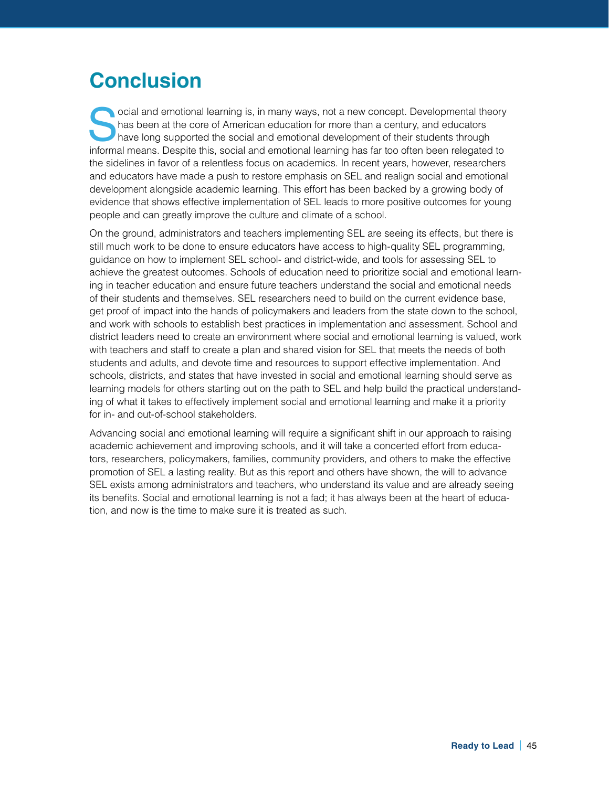# **Conclusion**

Social and emotional learning is, in many ways, not a new concept. Developmental theory<br>have long supported the social and emotional development of their students through<br>informal masses. Despite this, social and emotional has been at the core of American education for more than a century, and educators informal means. Despite this, social and emotional learning has far too often been relegated to the sidelines in favor of a relentless focus on academics. In recent years, however, researchers and educators have made a push to restore emphasis on SEL and realign social and emotional development alongside academic learning. This effort has been backed by a growing body of evidence that shows effective implementation of SEL leads to more positive outcomes for young people and can greatly improve the culture and climate of a school.

On the ground, administrators and teachers implementing SEL are seeing its effects, but there is still much work to be done to ensure educators have access to high-quality SEL programming, guidance on how to implement SEL school- and district-wide, and tools for assessing SEL to achieve the greatest outcomes. Schools of education need to prioritize social and emotional learning in teacher education and ensure future teachers understand the social and emotional needs of their students and themselves. SEL researchers need to build on the current evidence base, get proof of impact into the hands of policymakers and leaders from the state down to the school, and work with schools to establish best practices in implementation and assessment. School and district leaders need to create an environment where social and emotional learning is valued, work with teachers and staff to create a plan and shared vision for SEL that meets the needs of both students and adults, and devote time and resources to support effective implementation. And schools, districts, and states that have invested in social and emotional learning should serve as learning models for others starting out on the path to SEL and help build the practical understanding of what it takes to effectively implement social and emotional learning and make it a priority for in- and out-of-school stakeholders.

Advancing social and emotional learning will require a significant shift in our approach to raising academic achievement and improving schools, and it will take a concerted effort from educators, researchers, policymakers, families, community providers, and others to make the effective promotion of SEL a lasting reality. But as this report and others have shown, the will to advance SEL exists among administrators and teachers, who understand its value and are already seeing its benefits. Social and emotional learning is not a fad; it has always been at the heart of education, and now is the time to make sure it is treated as such.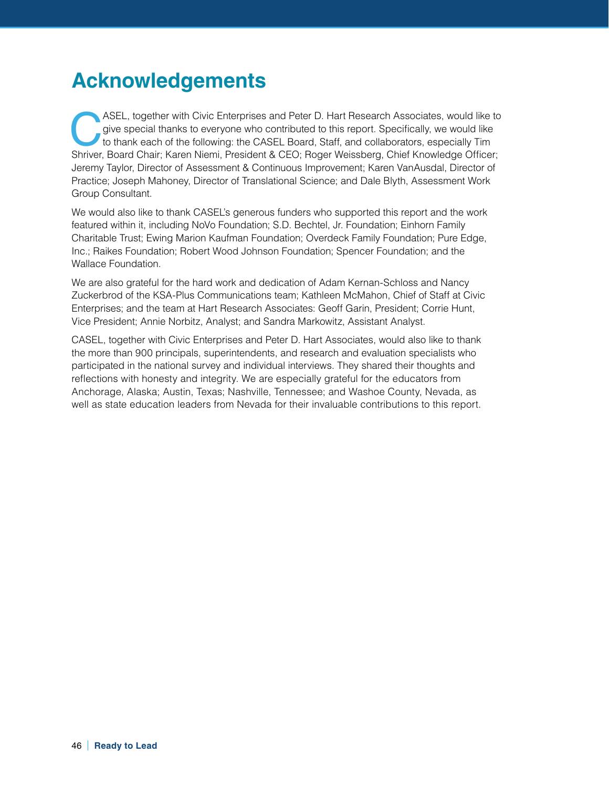# **Acknowledgements**

ASEL, together with Civic Enterprises and Peter D. Hart Research Associates, would like to give special thanks to everyone who contributed to this report. Specifically, we would like to thank each of the following: the CAS give special thanks to everyone who contributed to this report. Specifically, we would like Shriver, Board Chair; Karen Niemi, President & CEO; Roger Weissberg, Chief Knowledge Officer; Jeremy Taylor, Director of Assessment & Continuous Improvement; Karen VanAusdal, Director of Practice; Joseph Mahoney, Director of Translational Science; and Dale Blyth, Assessment Work Group Consultant.

We would also like to thank CASEL's generous funders who supported this report and the work featured within it, including NoVo Foundation; S.D. Bechtel, Jr. Foundation; Einhorn Family Charitable Trust; Ewing Marion Kaufman Foundation; Overdeck Family Foundation; Pure Edge, Inc.; Raikes Foundation; Robert Wood Johnson Foundation; Spencer Foundation; and the Wallace Foundation.

We are also grateful for the hard work and dedication of Adam Kernan-Schloss and Nancy Zuckerbrod of the KSA-Plus Communications team; Kathleen McMahon, Chief of Staff at Civic Enterprises; and the team at Hart Research Associates: Geoff Garin, President; Corrie Hunt, Vice President; Annie Norbitz, Analyst; and Sandra Markowitz, Assistant Analyst.

CASEL, together with Civic Enterprises and Peter D. Hart Associates, would also like to thank the more than 900 principals, superintendents, and research and evaluation specialists who participated in the national survey and individual interviews. They shared their thoughts and reflections with honesty and integrity. We are especially grateful for the educators from Anchorage, Alaska; Austin, Texas; Nashville, Tennessee; and Washoe County, Nevada, as well as state education leaders from Nevada for their invaluable contributions to this report.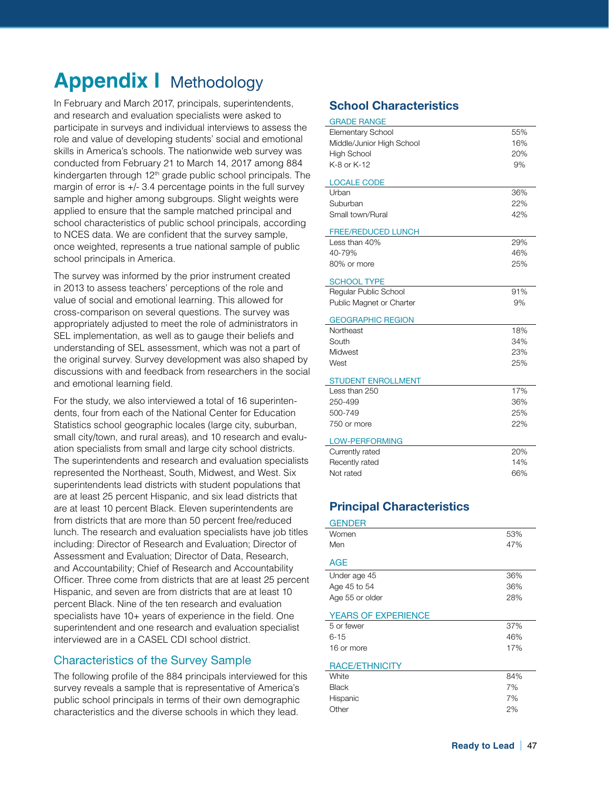# **Appendix | Methodology**

In February and March 2017, principals, superintendents, and research and evaluation specialists were asked to participate in surveys and individual interviews to assess the role and value of developing students' social and emotional skills in America's schools. The nationwide web survey was conducted from February 21 to March 14, 2017 among 884 kindergarten through 12<sup>th</sup> grade public school principals. The margin of error is +/- 3.4 percentage points in the full survey sample and higher among subgroups. Slight weights were applied to ensure that the sample matched principal and school characteristics of public school principals, according to NCES data. We are confident that the survey sample, once weighted, represents a true national sample of public school principals in America.

The survey was informed by the prior instrument created in 2013 to assess teachers' perceptions of the role and value of social and emotional learning. This allowed for cross-comparison on several questions. The survey was appropriately adjusted to meet the role of administrators in SEL implementation, as well as to gauge their beliefs and understanding of SEL assessment, which was not a part of the original survey. Survey development was also shaped by discussions with and feedback from researchers in the social and emotional learning field.

For the study, we also interviewed a total of 16 superintendents, four from each of the National Center for Education Statistics school geographic locales (large city, suburban, small city/town, and rural areas), and 10 research and evaluation specialists from small and large city school districts. The superintendents and research and evaluation specialists represented the Northeast, South, Midwest, and West. Six superintendents lead districts with student populations that are at least 25 percent Hispanic, and six lead districts that are at least 10 percent Black. Eleven superintendents are from districts that are more than 50 percent free/reduced lunch. The research and evaluation specialists have job titles including: Director of Research and Evaluation; Director of Assessment and Evaluation; Director of Data, Research, and Accountability; Chief of Research and Accountability Officer. Three come from districts that are at least 25 percent Hispanic, and seven are from districts that are at least 10 percent Black. Nine of the ten research and evaluation specialists have 10+ years of experience in the field. One superintendent and one research and evaluation specialist interviewed are in a CASEL CDI school district.

#### Characteristics of the Survey Sample

The following profile of the 884 principals interviewed for this survey reveals a sample that is representative of America's public school principals in terms of their own demographic characteristics and the diverse schools in which they lead.

## **School Characteristics**

| <b>GRADE RANGE</b>        |     |
|---------------------------|-----|
| <b>Elementary School</b>  | 55% |
| Middle/Junior High School | 16% |
| <b>High School</b>        | 20% |
| K-8 or K-12               | 9%  |
| <b>LOCALE CODE</b>        |     |
| Urban                     | 36% |
| Suburban                  | 22% |
| Small town/Rural          | 42% |
| <b>FREE/REDUCED LUNCH</b> |     |
| Less than 40%             | 29% |
| 40-79%                    | 46% |
| 80% or more               | 25% |
| <b>SCHOOL TYPE</b>        |     |
| Regular Public School     | 91% |
| Public Magnet or Charter  | 9%  |
| <b>GEOGRAPHIC REGION</b>  |     |
| Northeast                 | 18% |
| South                     | 34% |
| Midwest                   | 23% |
| West                      | 25% |
| <b>STUDENT ENROLLMENT</b> |     |
| Less than 250             | 17% |
| 250-499                   | 36% |
| 500-749                   | 25% |
| 750 or more               | 22% |
| <b>LOW-PERFORMING</b>     |     |
| Currently rated           | 20% |
| Recently rated            | 14% |
| Not rated                 | 66% |

# **Principal Characteristics**

| <b>GENDER</b>              |     |
|----------------------------|-----|
| Women                      | 53% |
| Men                        | 47% |
| <b>AGE</b>                 |     |
| Under age 45               | 36% |
| Age 45 to 54               | 36% |
| Age 55 or older            | 28% |
| <b>YEARS OF EXPERIENCE</b> |     |
| 5 or fewer                 | 37% |
| $6 - 15$                   | 46% |
| 16 or more                 | 17% |
| <b>RACE/ETHNICITY</b>      |     |
| White                      | 84% |
| Black                      | 7%  |
| Hispanic                   | 7%  |
| Other                      | 2%  |
|                            |     |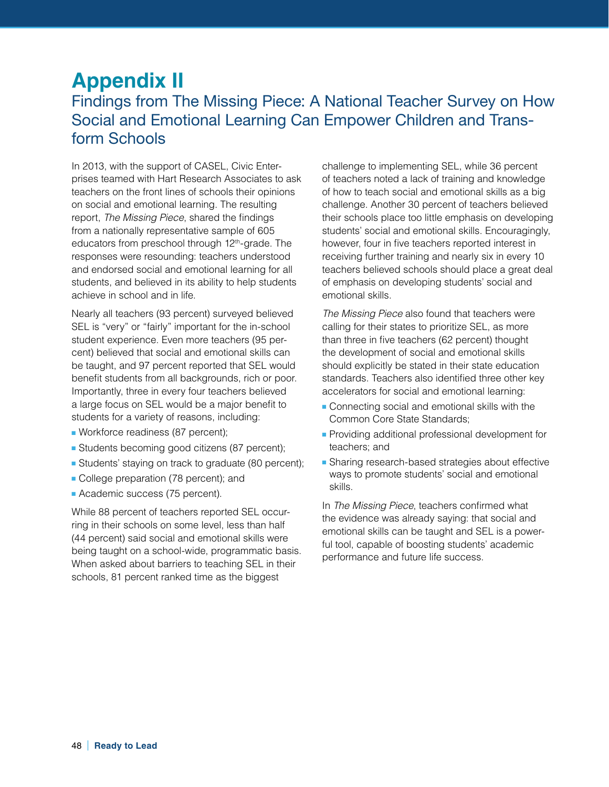# **Appendix II** Findings from The Missing Piece: A National Teacher Survey on How Social and Emotional Learning Can Empower Children and Transform Schools

In 2013, with the support of CASEL, Civic Enterprises teamed with Hart Research Associates to ask teachers on the front lines of schools their opinions on social and emotional learning. The resulting report, *The Missing Piece*, shared the findings from a nationally representative sample of 605 educators from preschool through 12<sup>th</sup>-grade. The responses were resounding: teachers understood and endorsed social and emotional learning for all students, and believed in its ability to help students achieve in school and in life.

Nearly all teachers (93 percent) surveyed believed SEL is "very" or "fairly" important for the in-school student experience. Even more teachers (95 percent) believed that social and emotional skills can be taught, and 97 percent reported that SEL would benefit students from all backgrounds, rich or poor. Importantly, three in every four teachers believed a large focus on SEL would be a major benefit to students for a variety of reasons, including:

- Workforce readiness (87 percent);
- Students becoming good citizens (87 percent);
- Students' staying on track to graduate (80 percent);
- College preparation (78 percent); and
- Academic success (75 percent).

While 88 percent of teachers reported SEL occurring in their schools on some level, less than half (44 percent) said social and emotional skills were being taught on a school-wide, programmatic basis. When asked about barriers to teaching SEL in their schools, 81 percent ranked time as the biggest

challenge to implementing SEL, while 36 percent of teachers noted a lack of training and knowledge of how to teach social and emotional skills as a big challenge. Another 30 percent of teachers believed their schools place too little emphasis on developing students' social and emotional skills. Encouragingly, however, four in five teachers reported interest in receiving further training and nearly six in every 10 teachers believed schools should place a great deal of emphasis on developing students' social and emotional skills.

*The Missing Piece* also found that teachers were calling for their states to prioritize SEL, as more than three in five teachers (62 percent) thought the development of social and emotional skills should explicitly be stated in their state education standards. Teachers also identified three other key accelerators for social and emotional learning:

- Connecting social and emotional skills with the Common Core State Standards;
- Providing additional professional development for teachers; and
- Sharing research-based strategies about effective ways to promote students' social and emotional skills.

In *The Missing Piece*, teachers confirmed what the evidence was already saying: that social and emotional skills can be taught and SEL is a powerful tool, capable of boosting students' academic performance and future life success.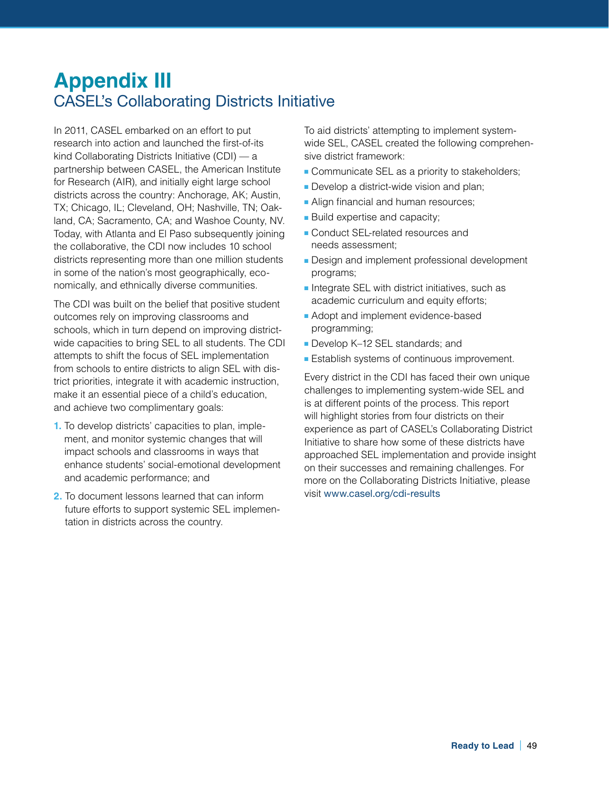# **Appendix III**  CASEL's Collaborating Districts Initiative

In 2011, CASEL embarked on an effort to put research into action and launched the first-of-its kind Collaborating Districts Initiative (CDI) — a partnership between CASEL, the American Institute for Research (AIR), and initially eight large school districts across the country: Anchorage, AK; Austin, TX; Chicago, IL; Cleveland, OH; Nashville, TN; Oakland, CA; Sacramento, CA; and Washoe County, NV. Today, with Atlanta and El Paso subsequently joining the collaborative, the CDI now includes 10 school districts representing more than one million students in some of the nation's most geographically, economically, and ethnically diverse communities.

The CDI was built on the belief that positive student outcomes rely on improving classrooms and schools, which in turn depend on improving districtwide capacities to bring SEL to all students. The CDI attempts to shift the focus of SEL implementation from schools to entire districts to align SEL with district priorities, integrate it with academic instruction, make it an essential piece of a child's education, and achieve two complimentary goals:

- **1.** To develop districts' capacities to plan, implement, and monitor systemic changes that will impact schools and classrooms in ways that enhance students' social-emotional development and academic performance; and
- **2.** To document lessons learned that can inform future efforts to support systemic SEL implementation in districts across the country.

To aid districts' attempting to implement systemwide SEL, CASEL created the following comprehensive district framework:

- Communicate SEL as a priority to stakeholders;
- Develop a district-wide vision and plan;
- **Align financial and human resources;**
- Build expertise and capacity;
- Conduct SEL-related resources and needs assessment;
- Design and implement professional development programs;
- Integrate SEL with district initiatives, such as academic curriculum and equity efforts;
- Adopt and implement evidence-based programming;
- Develop K–12 SEL standards; and
- Establish systems of continuous improvement.

Every district in the CDI has faced their own unique challenges to implementing system-wide SEL and is at different points of the process. This report will highlight stories from four districts on their experience as part of CASEL's Collaborating District Initiative to share how some of these districts have approached SEL implementation and provide insight on their successes and remaining challenges. For more on the Collaborating Districts Initiative, please visit [www.casel.org/cdi-results](http://www.casel.org/cdi-results)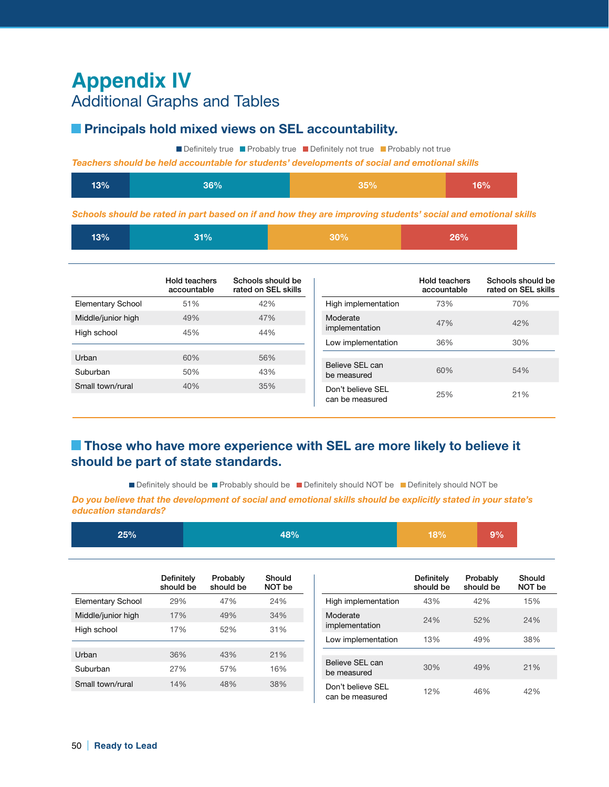# **Appendix IV**  Additional Graphs and Tables

## **Principals hold mixed views on SEL accountability.**

Definitely true Probably true Definitely not true Probably not true

*Teachers should be held accountable for students' developments of social and emotional skills*

| 13% | <b>16%</b> | 35% | 8%ا |
|-----|------------|-----|-----|
|     |            |     |     |

*Schools should be rated in part based on if and how they are improving students' social and emotional skills*

|  | 13% | 21% | $30\%$ | <b>DA04</b> |
|--|-----|-----|--------|-------------|
|--|-----|-----|--------|-------------|

|                                   | Hold teachers<br>accountable | Schools should be<br>rated on SEL skills |                                |                     | Hold teachers<br>accountable |
|-----------------------------------|------------------------------|------------------------------------------|--------------------------------|---------------------|------------------------------|
| Elementary School                 | 51%                          | 42%                                      |                                | High implementation | 73%                          |
| Middle/junior high<br>High school | 49%<br>45%                   | 47%<br>44%                               | Moderate<br>implementation     |                     | 47%                          |
|                                   |                              |                                          | Low implementation             |                     | 36%                          |
| Urban                             | 60%                          | 56%                                      |                                |                     |                              |
| Suburban                          | 50%                          | 43%                                      | Believe SEL can<br>be measured |                     | 60%                          |
| Small town/rural                  | 40%                          | 35%                                      | Don't believe SEL              |                     | 25%                          |
|                                   |                              |                                          | can be measured                |                     |                              |

# **Those who have more experience with SEL are more likely to believe it should be part of state standards.**

Definitely should be Probably should be Published NoT be Definitely should NOT be

*Do you believe that the development of social and emotional skills should be explicitly stated in your state's education standards?*

| 25%                      |                         | 48%                   |                  | 18%                                  | 9%                      |                       |                  |
|--------------------------|-------------------------|-----------------------|------------------|--------------------------------------|-------------------------|-----------------------|------------------|
|                          | Definitely<br>should be | Probably<br>should be | Should<br>NOT be |                                      | Definitely<br>should be | Probably<br>should be | Should<br>NOT be |
| <b>Elementary School</b> | 29%                     | 47%                   | 24%              | High implementation                  | 43%                     | 42%                   | 15%              |
| Middle/junior high       | 17%                     | 49%                   | 34%              | Moderate                             | 24%                     | 52%                   | 24%              |
| High school              | 17%                     | 52%                   | 31%              | implementation                       |                         |                       |                  |
|                          |                         |                       |                  | Low implementation                   | 13%                     | 49%                   | 38%              |
| Urban                    | 36%                     | 43%                   | 21%              |                                      |                         |                       |                  |
| Suburban                 | 27%                     | 57%                   | 16%              | Believe SEL can<br>be measured       | 30%                     | 49%                   | 21%              |
| Small town/rural         | 14%                     | 48%                   | 38%              | Don't believe SEL<br>can be measured | 12%                     | 46%                   | 42%              |